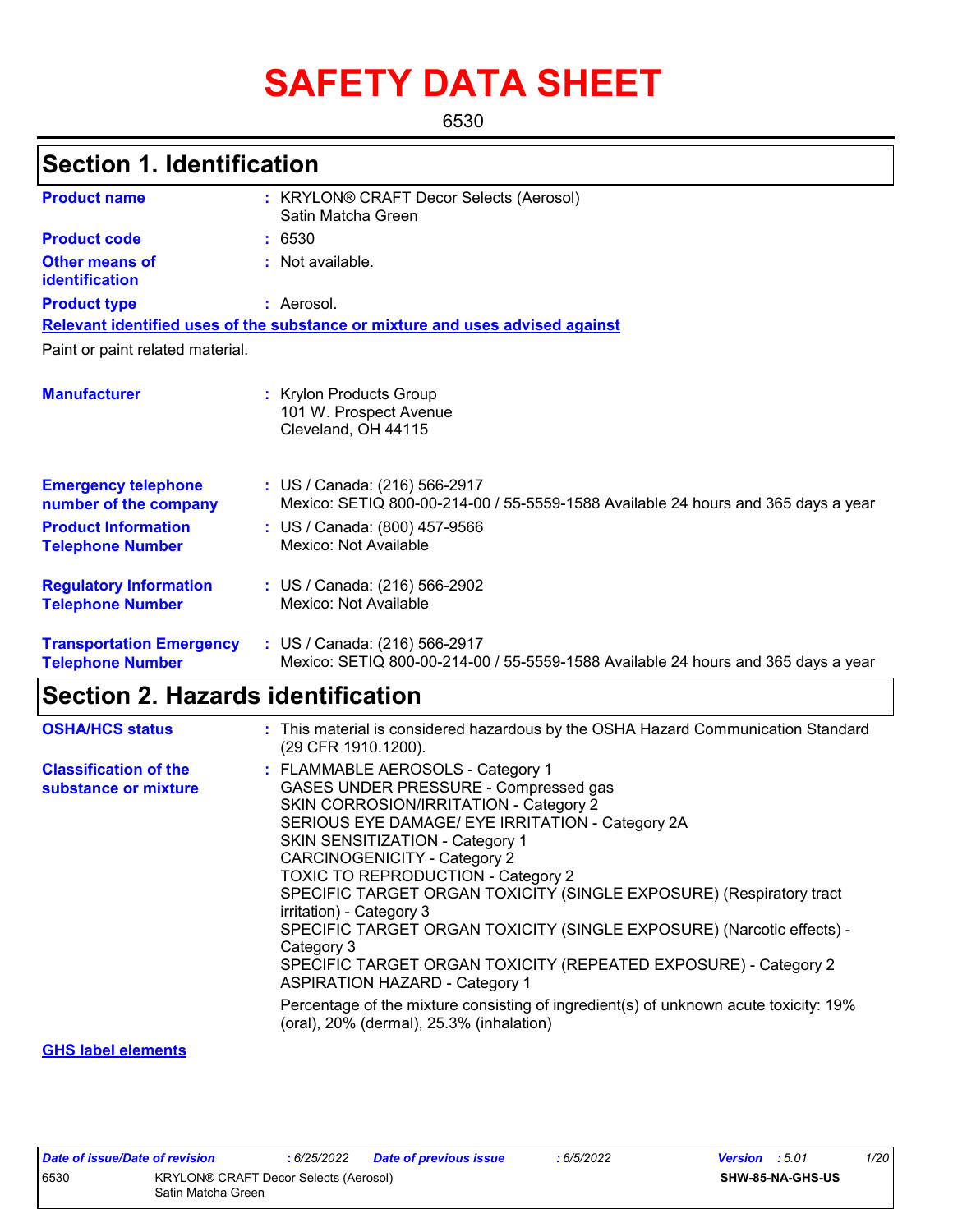# **SAFETY DATA SHEET**

6530

## **Section 1. Identification**

| <b>Product name</b>                                        | : KRYLON® CRAFT Decor Selects (Aerosol)<br>Satin Matcha Green                                                      |
|------------------------------------------------------------|--------------------------------------------------------------------------------------------------------------------|
| <b>Product code</b>                                        | : 6530                                                                                                             |
| Other means of<br>identification                           | : Not available.                                                                                                   |
| <b>Product type</b>                                        | : Aerosol.                                                                                                         |
|                                                            | Relevant identified uses of the substance or mixture and uses advised against                                      |
| Paint or paint related material.                           |                                                                                                                    |
| <b>Manufacturer</b>                                        | : Krylon Products Group<br>101 W. Prospect Avenue<br>Cleveland, OH 44115                                           |
| <b>Emergency telephone</b><br>number of the company        | : US / Canada: (216) 566-2917<br>Mexico: SETIQ 800-00-214-00 / 55-5559-1588 Available 24 hours and 365 days a year |
| <b>Product Information</b><br><b>Telephone Number</b>      | : US / Canada: (800) 457-9566<br>Mexico: Not Available                                                             |
| <b>Regulatory Information</b><br><b>Telephone Number</b>   | : US / Canada: (216) 566-2902<br>Mexico: Not Available                                                             |
| <b>Transportation Emergency</b><br><b>Telephone Number</b> | : US / Canada: (216) 566-2917<br>Mexico: SETIQ 800-00-214-00 / 55-5559-1588 Available 24 hours and 365 days a year |

## **Section 2. Hazards identification**

| <b>OSHA/HCS status</b>                               | : This material is considered hazardous by the OSHA Hazard Communication Standard<br>(29 CFR 1910.1200).                                                                                                                                                                                                                                                                                                                                                                                                                                                                                                                                                                                                                                  |
|------------------------------------------------------|-------------------------------------------------------------------------------------------------------------------------------------------------------------------------------------------------------------------------------------------------------------------------------------------------------------------------------------------------------------------------------------------------------------------------------------------------------------------------------------------------------------------------------------------------------------------------------------------------------------------------------------------------------------------------------------------------------------------------------------------|
| <b>Classification of the</b><br>substance or mixture | : FLAMMABLE AEROSOLS - Category 1<br>GASES UNDER PRESSURE - Compressed gas<br>SKIN CORROSION/IRRITATION - Category 2<br>SERIOUS EYE DAMAGE/ EYE IRRITATION - Category 2A<br>SKIN SENSITIZATION - Category 1<br><b>CARCINOGENICITY - Category 2</b><br><b>TOXIC TO REPRODUCTION - Category 2</b><br>SPECIFIC TARGET ORGAN TOXICITY (SINGLE EXPOSURE) (Respiratory tract<br>irritation) - Category 3<br>SPECIFIC TARGET ORGAN TOXICITY (SINGLE EXPOSURE) (Narcotic effects) -<br>Category 3<br>SPECIFIC TARGET ORGAN TOXICITY (REPEATED EXPOSURE) - Category 2<br><b>ASPIRATION HAZARD - Category 1</b><br>Percentage of the mixture consisting of ingredient(s) of unknown acute toxicity: 19%<br>(oral), 20% (dermal), 25.3% (inhalation) |
|                                                      |                                                                                                                                                                                                                                                                                                                                                                                                                                                                                                                                                                                                                                                                                                                                           |

#### **GHS label elements**

| Date of issue/Date of revision |                                                             | : 6/25/2022 | Date of previous issue | : 6/5/2022 | <b>Version</b> : 5.01 |                         | 1/20 |
|--------------------------------|-------------------------------------------------------------|-------------|------------------------|------------|-----------------------|-------------------------|------|
| 6530                           | KRYLON® CRAFT Decor Selects (Aerosol)<br>Satin Matcha Green |             |                        |            |                       | <b>SHW-85-NA-GHS-US</b> |      |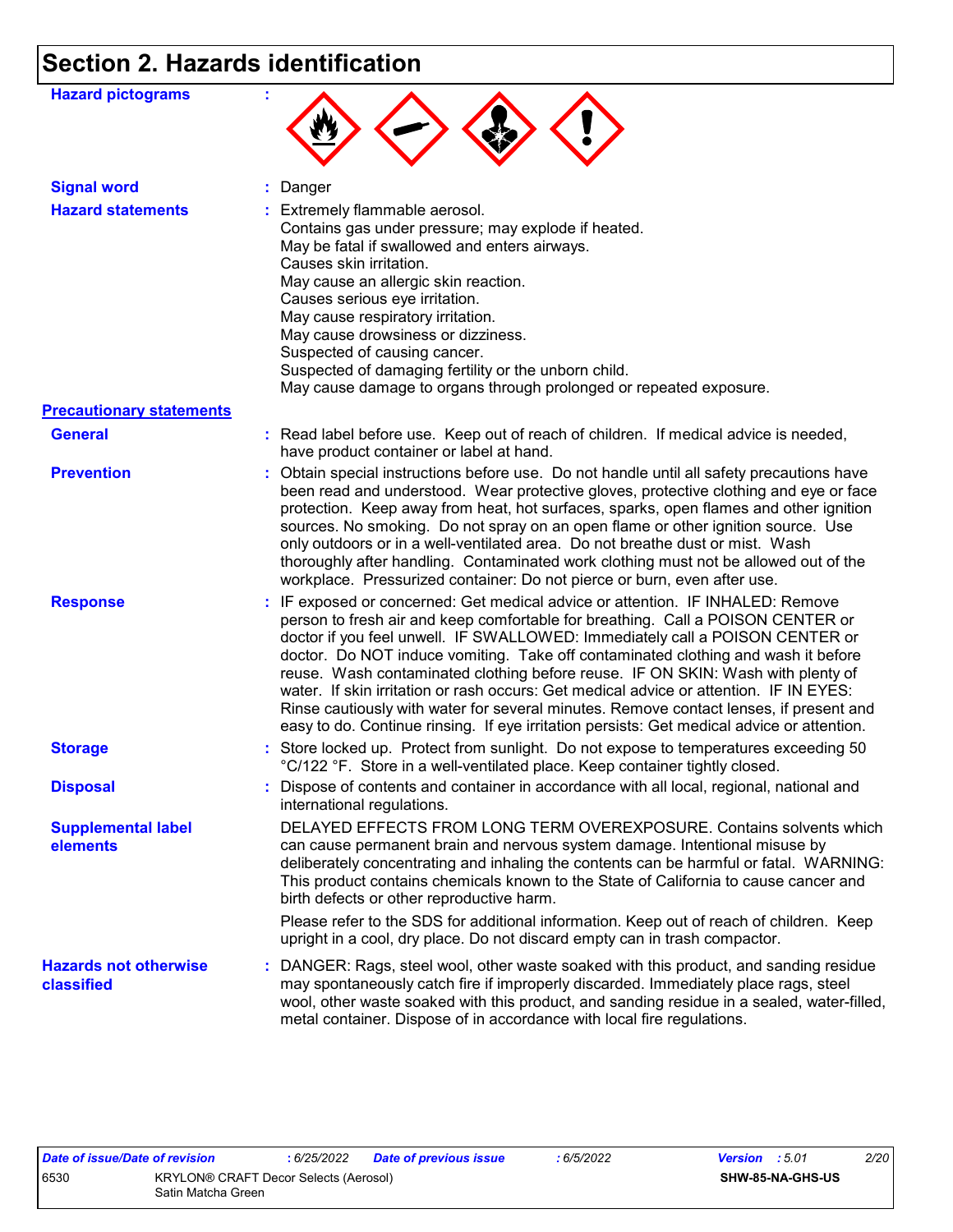## **Section 2. Hazards identification**

| <b>Hazard pictograms</b>                   |                                                                                                                                                                                                                                                                                                                                                                                                                                                                                                                                                                                                                                                                                                             |
|--------------------------------------------|-------------------------------------------------------------------------------------------------------------------------------------------------------------------------------------------------------------------------------------------------------------------------------------------------------------------------------------------------------------------------------------------------------------------------------------------------------------------------------------------------------------------------------------------------------------------------------------------------------------------------------------------------------------------------------------------------------------|
| <b>Signal word</b>                         | : Danger                                                                                                                                                                                                                                                                                                                                                                                                                                                                                                                                                                                                                                                                                                    |
| <b>Hazard statements</b>                   | : Extremely flammable aerosol.<br>Contains gas under pressure; may explode if heated.<br>May be fatal if swallowed and enters airways.<br>Causes skin irritation.<br>May cause an allergic skin reaction.<br>Causes serious eye irritation.<br>May cause respiratory irritation.<br>May cause drowsiness or dizziness.<br>Suspected of causing cancer.<br>Suspected of damaging fertility or the unborn child.<br>May cause damage to organs through prolonged or repeated exposure.                                                                                                                                                                                                                        |
| <b>Precautionary statements</b>            |                                                                                                                                                                                                                                                                                                                                                                                                                                                                                                                                                                                                                                                                                                             |
| <b>General</b>                             | : Read label before use. Keep out of reach of children. If medical advice is needed,<br>have product container or label at hand.                                                                                                                                                                                                                                                                                                                                                                                                                                                                                                                                                                            |
| <b>Prevention</b>                          | : Obtain special instructions before use. Do not handle until all safety precautions have<br>been read and understood. Wear protective gloves, protective clothing and eye or face<br>protection. Keep away from heat, hot surfaces, sparks, open flames and other ignition<br>sources. No smoking. Do not spray on an open flame or other ignition source. Use<br>only outdoors or in a well-ventilated area. Do not breathe dust or mist. Wash<br>thoroughly after handling. Contaminated work clothing must not be allowed out of the<br>workplace. Pressurized container: Do not pierce or burn, even after use.                                                                                        |
| <b>Response</b>                            | : IF exposed or concerned: Get medical advice or attention. IF INHALED: Remove<br>person to fresh air and keep comfortable for breathing. Call a POISON CENTER or<br>doctor if you feel unwell. IF SWALLOWED: Immediately call a POISON CENTER or<br>doctor. Do NOT induce vomiting. Take off contaminated clothing and wash it before<br>reuse. Wash contaminated clothing before reuse. IF ON SKIN: Wash with plenty of<br>water. If skin irritation or rash occurs: Get medical advice or attention. IF IN EYES:<br>Rinse cautiously with water for several minutes. Remove contact lenses, if present and<br>easy to do. Continue rinsing. If eye irritation persists: Get medical advice or attention. |
| <b>Storage</b>                             | : Store locked up. Protect from sunlight. Do not expose to temperatures exceeding 50<br>°C/122 °F. Store in a well-ventilated place. Keep container tightly closed.                                                                                                                                                                                                                                                                                                                                                                                                                                                                                                                                         |
| <b>Disposal</b>                            | : Dispose of contents and container in accordance with all local, regional, national and<br>international regulations.                                                                                                                                                                                                                                                                                                                                                                                                                                                                                                                                                                                      |
| <b>Supplemental label</b><br>elements      | DELAYED EFFECTS FROM LONG TERM OVEREXPOSURE. Contains solvents which<br>can cause permanent brain and nervous system damage. Intentional misuse by<br>deliberately concentrating and inhaling the contents can be harmful or fatal. WARNING:<br>This product contains chemicals known to the State of California to cause cancer and<br>birth defects or other reproductive harm.<br>Please refer to the SDS for additional information. Keep out of reach of children. Keep<br>upright in a cool, dry place. Do not discard empty can in trash compactor.                                                                                                                                                  |
| <b>Hazards not otherwise</b><br>classified | : DANGER: Rags, steel wool, other waste soaked with this product, and sanding residue<br>may spontaneously catch fire if improperly discarded. Immediately place rags, steel<br>wool, other waste soaked with this product, and sanding residue in a sealed, water-filled,<br>metal container. Dispose of in accordance with local fire regulations.                                                                                                                                                                                                                                                                                                                                                        |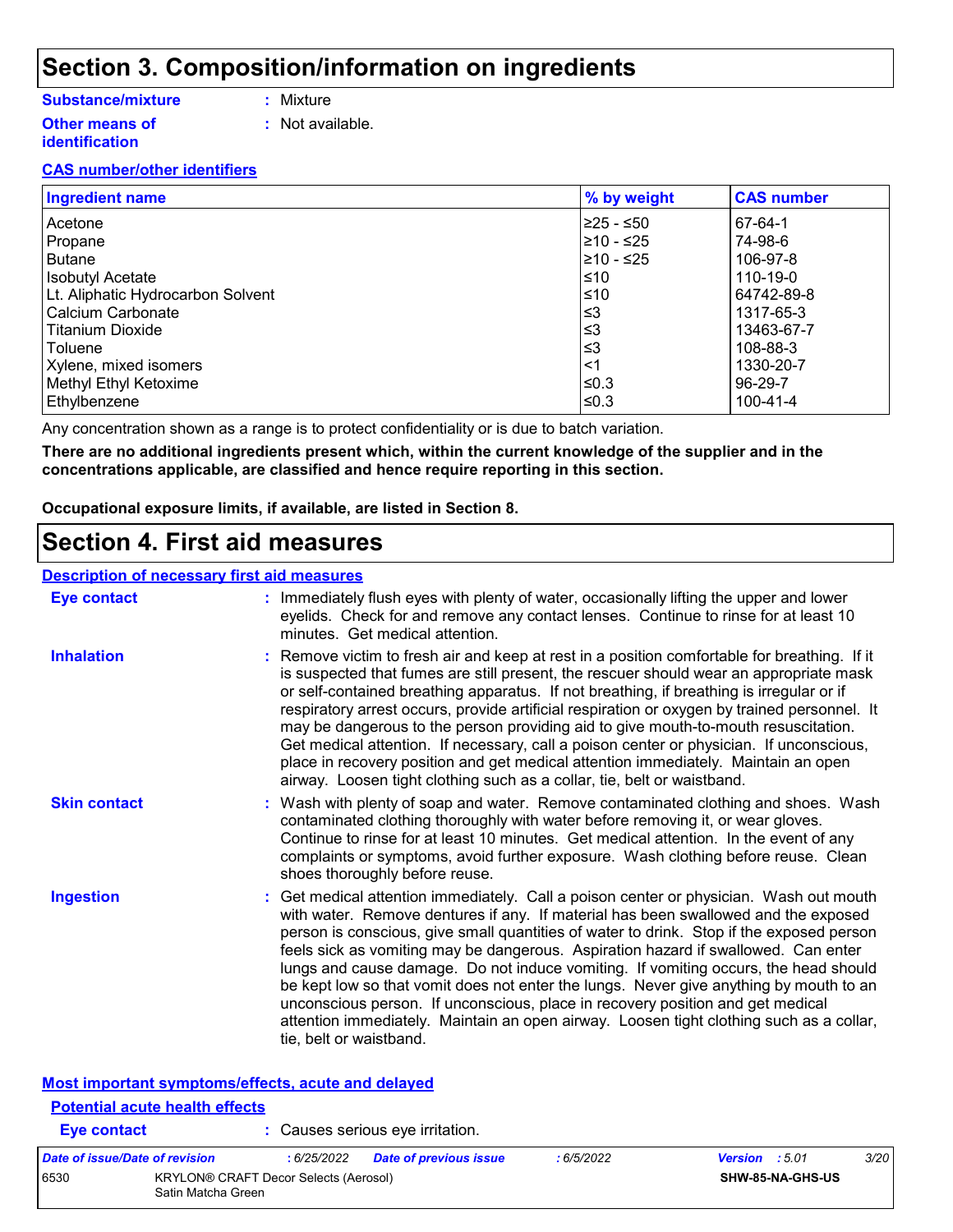### **Section 3. Composition/information on ingredients**

#### **Substance/mixture**

- **:** Mixture
- **Other means of identification**
- **:** Not available.
- 

#### **CAS number/other identifiers**

| <b>Ingredient name</b>            | % by weight | <b>CAS number</b> |
|-----------------------------------|-------------|-------------------|
| Acetone                           | ≥25 - ≤50   | 67-64-1           |
| Propane                           | $≥10 - ≤25$ | 74-98-6           |
| <b>Butane</b>                     | $≥10 - ≤25$ | 106-97-8          |
| <b>Isobutyl Acetate</b>           | ≤10         | 110-19-0          |
| Lt. Aliphatic Hydrocarbon Solvent | ≤10         | 64742-89-8        |
| Calcium Carbonate                 | ≤3          | 1317-65-3         |
| Titanium Dioxide                  | ≤3          | 13463-67-7        |
| Toluene                           | ≤3          | 108-88-3          |
| Xylene, mixed isomers             | <1          | 1330-20-7         |
| Methyl Ethyl Ketoxime             | ≤0.3        | 96-29-7           |
| Ethylbenzene                      | ≤0.3        | $100 - 41 - 4$    |

Any concentration shown as a range is to protect confidentiality or is due to batch variation.

**There are no additional ingredients present which, within the current knowledge of the supplier and in the concentrations applicable, are classified and hence require reporting in this section.**

**Occupational exposure limits, if available, are listed in Section 8.**

**Eye contact :** Causes serious eye irritation.

### **Section 4. First aid measures**

#### **Description of necessary first aid measures**

| <b>Eye contact</b>                                 | : Immediately flush eyes with plenty of water, occasionally lifting the upper and lower<br>eyelids. Check for and remove any contact lenses. Continue to rinse for at least 10<br>minutes. Get medical attention.                                                                                                                                                                                                                                                                                                                                                                                                                                                                                                                                       |
|----------------------------------------------------|---------------------------------------------------------------------------------------------------------------------------------------------------------------------------------------------------------------------------------------------------------------------------------------------------------------------------------------------------------------------------------------------------------------------------------------------------------------------------------------------------------------------------------------------------------------------------------------------------------------------------------------------------------------------------------------------------------------------------------------------------------|
| <b>Inhalation</b>                                  | : Remove victim to fresh air and keep at rest in a position comfortable for breathing. If it<br>is suspected that fumes are still present, the rescuer should wear an appropriate mask<br>or self-contained breathing apparatus. If not breathing, if breathing is irregular or if<br>respiratory arrest occurs, provide artificial respiration or oxygen by trained personnel. It<br>may be dangerous to the person providing aid to give mouth-to-mouth resuscitation.<br>Get medical attention. If necessary, call a poison center or physician. If unconscious,<br>place in recovery position and get medical attention immediately. Maintain an open<br>airway. Loosen tight clothing such as a collar, tie, belt or waistband.                    |
| <b>Skin contact</b>                                | : Wash with plenty of soap and water. Remove contaminated clothing and shoes. Wash<br>contaminated clothing thoroughly with water before removing it, or wear gloves.<br>Continue to rinse for at least 10 minutes. Get medical attention. In the event of any<br>complaints or symptoms, avoid further exposure. Wash clothing before reuse. Clean<br>shoes thoroughly before reuse.                                                                                                                                                                                                                                                                                                                                                                   |
| <b>Ingestion</b>                                   | : Get medical attention immediately. Call a poison center or physician. Wash out mouth<br>with water. Remove dentures if any. If material has been swallowed and the exposed<br>person is conscious, give small quantities of water to drink. Stop if the exposed person<br>feels sick as vomiting may be dangerous. Aspiration hazard if swallowed. Can enter<br>lungs and cause damage. Do not induce vomiting. If vomiting occurs, the head should<br>be kept low so that vomit does not enter the lungs. Never give anything by mouth to an<br>unconscious person. If unconscious, place in recovery position and get medical<br>attention immediately. Maintain an open airway. Loosen tight clothing such as a collar,<br>tie, belt or waistband. |
| Most important symptoms/effects, acute and delayed |                                                                                                                                                                                                                                                                                                                                                                                                                                                                                                                                                                                                                                                                                                                                                         |
| <b>Potential acute health effects</b>              |                                                                                                                                                                                                                                                                                                                                                                                                                                                                                                                                                                                                                                                                                                                                                         |

| Date of issue/Date of revision |                    | : 6/25/2022                                  | <b>Date of previous issue</b> | : 6/5/2022 | <b>Version</b> : 5.01   | <i>3/20</i> |
|--------------------------------|--------------------|----------------------------------------------|-------------------------------|------------|-------------------------|-------------|
| 6530                           | Satin Matcha Green | <b>KRYLON® CRAFT Decor Selects (Aerosol)</b> |                               |            | <b>SHW-85-NA-GHS-US</b> |             |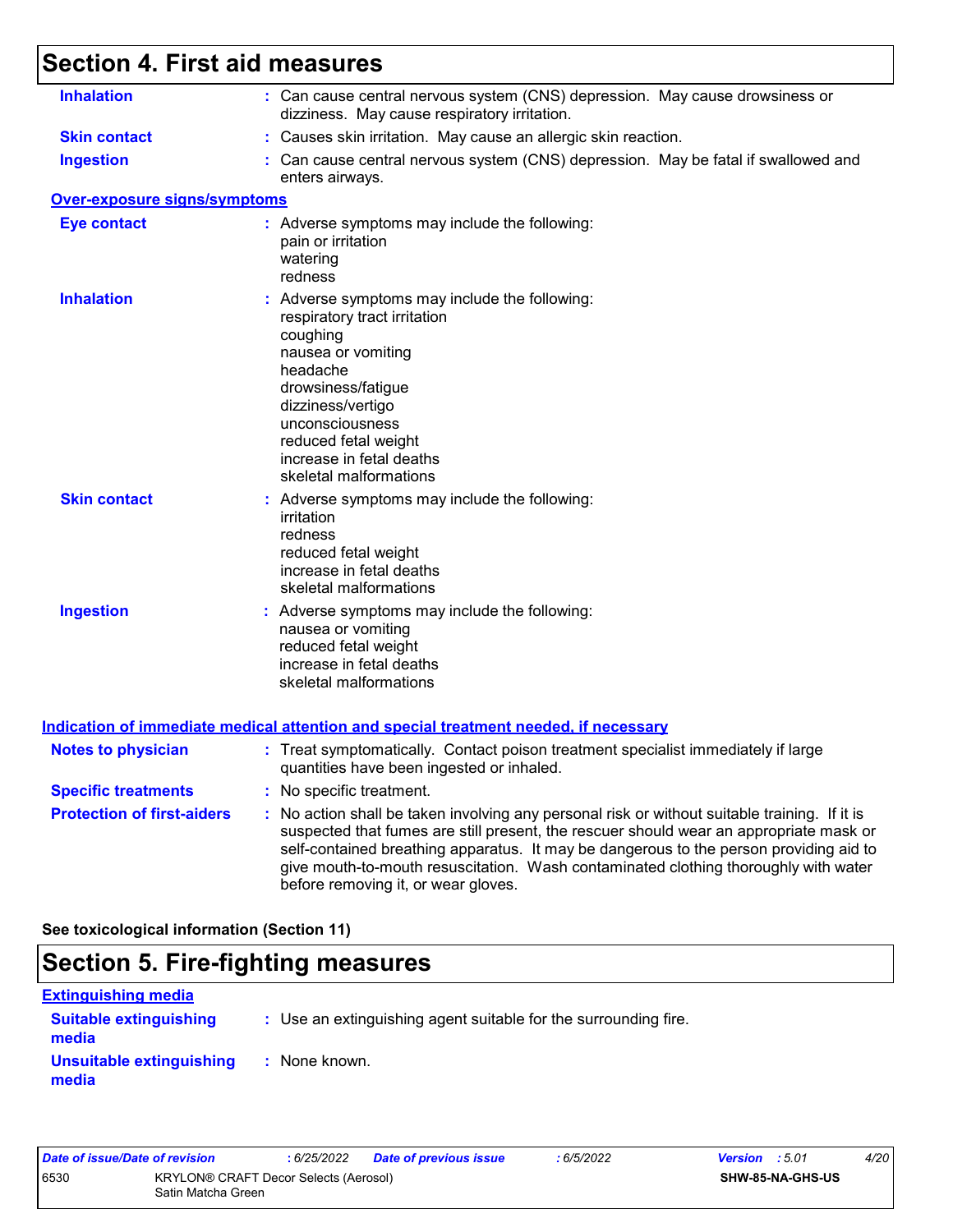## **Section 4. First aid measures**

| <b>Inhalation</b>                   | : Can cause central nervous system (CNS) depression. May cause drowsiness or<br>dizziness. May cause respiratory irritation.                                                                                                                                                                                                                                                                                    |
|-------------------------------------|-----------------------------------------------------------------------------------------------------------------------------------------------------------------------------------------------------------------------------------------------------------------------------------------------------------------------------------------------------------------------------------------------------------------|
| <b>Skin contact</b>                 | : Causes skin irritation. May cause an allergic skin reaction.                                                                                                                                                                                                                                                                                                                                                  |
| <b>Ingestion</b>                    | : Can cause central nervous system (CNS) depression. May be fatal if swallowed and<br>enters airways.                                                                                                                                                                                                                                                                                                           |
| <b>Over-exposure signs/symptoms</b> |                                                                                                                                                                                                                                                                                                                                                                                                                 |
| <b>Eye contact</b>                  | : Adverse symptoms may include the following:<br>pain or irritation<br>watering<br>redness                                                                                                                                                                                                                                                                                                                      |
| <b>Inhalation</b>                   | : Adverse symptoms may include the following:<br>respiratory tract irritation<br>coughing<br>nausea or vomiting<br>headache<br>drowsiness/fatigue<br>dizziness/vertigo<br>unconsciousness<br>reduced fetal weight<br>increase in fetal deaths<br>skeletal malformations                                                                                                                                         |
| <b>Skin contact</b>                 | : Adverse symptoms may include the following:<br>irritation<br>redness<br>reduced fetal weight<br>increase in fetal deaths<br>skeletal malformations                                                                                                                                                                                                                                                            |
| <b>Ingestion</b>                    | : Adverse symptoms may include the following:<br>nausea or vomiting<br>reduced fetal weight<br>increase in fetal deaths<br>skeletal malformations                                                                                                                                                                                                                                                               |
|                                     | <b>Indication of immediate medical attention and special treatment needed, if necessary</b>                                                                                                                                                                                                                                                                                                                     |
| <b>Notes to physician</b>           | : Treat symptomatically. Contact poison treatment specialist immediately if large<br>quantities have been ingested or inhaled.                                                                                                                                                                                                                                                                                  |
| <b>Specific treatments</b>          | : No specific treatment.                                                                                                                                                                                                                                                                                                                                                                                        |
| <b>Protection of first-aiders</b>   | : No action shall be taken involving any personal risk or without suitable training. If it is<br>suspected that fumes are still present, the rescuer should wear an appropriate mask or<br>self-contained breathing apparatus. It may be dangerous to the person providing aid to<br>give mouth-to-mouth resuscitation. Wash contaminated clothing thoroughly with water<br>before removing it, or wear gloves. |

**See toxicological information (Section 11)**

## **Section 5. Fire-fighting measures**

| <b>Extinguishing media</b>             |                                                                 |
|----------------------------------------|-----------------------------------------------------------------|
| <b>Suitable extinguishing</b><br>media | : Use an extinguishing agent suitable for the surrounding fire. |
| Unsuitable extinguishing<br>media      | : None known.                                                   |

| Date of issue/Date of revision |                                                                    | : 6/25/2022 | Date of previous issue | : 6/5/2022              | <b>Version</b> : 5.01 | 4/20 |
|--------------------------------|--------------------------------------------------------------------|-------------|------------------------|-------------------------|-----------------------|------|
| 6530                           | <b>KRYLON® CRAFT Decor Selects (Aerosol)</b><br>Satin Matcha Green |             |                        | <b>SHW-85-NA-GHS-US</b> |                       |      |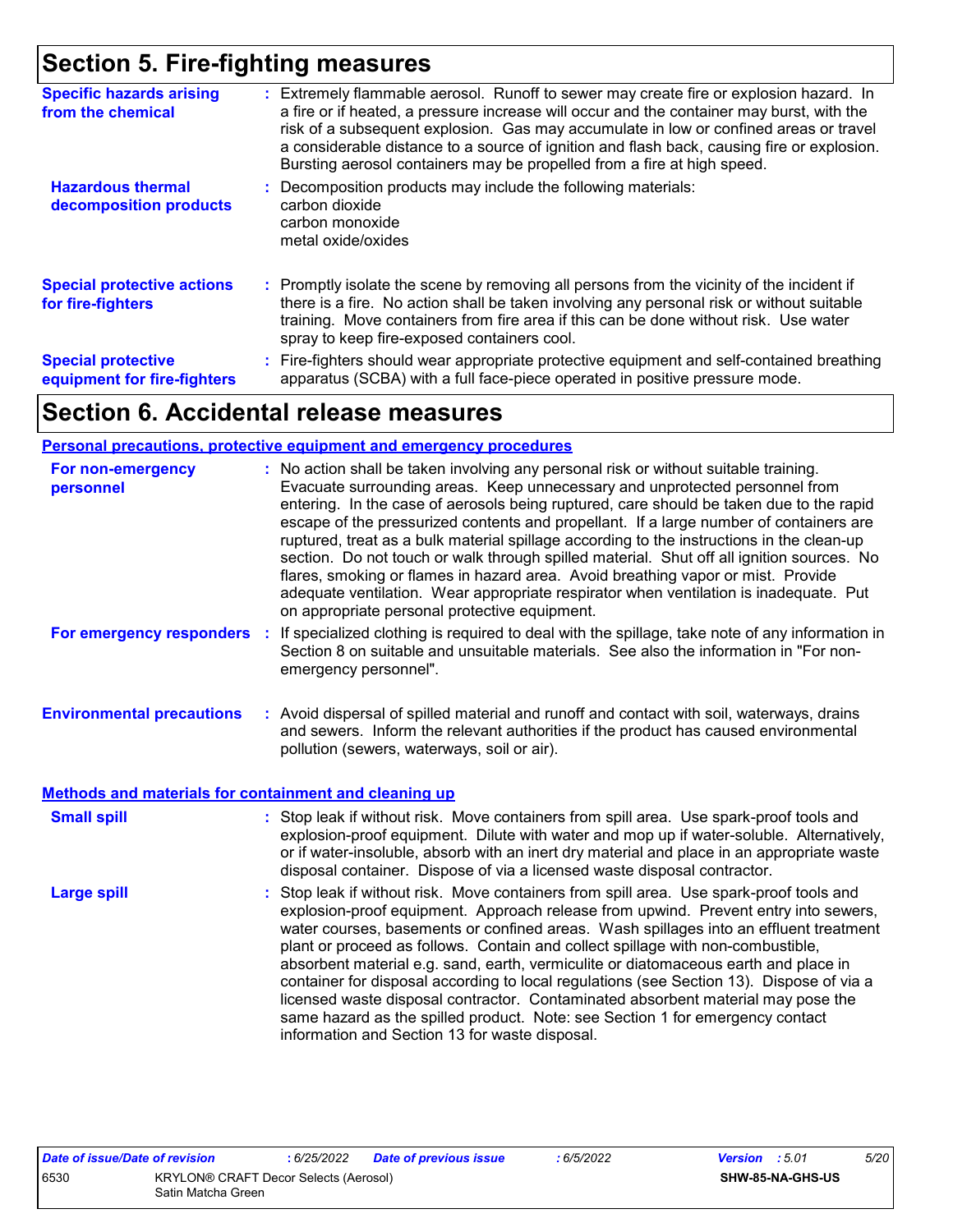## **Section 5. Fire-fighting measures**

| <b>Specific hazards arising</b><br>from the chemical     | : Extremely flammable aerosol. Runoff to sewer may create fire or explosion hazard. In<br>a fire or if heated, a pressure increase will occur and the container may burst, with the<br>risk of a subsequent explosion. Gas may accumulate in low or confined areas or travel<br>a considerable distance to a source of ignition and flash back, causing fire or explosion.<br>Bursting aerosol containers may be propelled from a fire at high speed. |
|----------------------------------------------------------|-------------------------------------------------------------------------------------------------------------------------------------------------------------------------------------------------------------------------------------------------------------------------------------------------------------------------------------------------------------------------------------------------------------------------------------------------------|
| <b>Hazardous thermal</b><br>decomposition products       | Decomposition products may include the following materials:<br>carbon dioxide<br>carbon monoxide<br>metal oxide/oxides                                                                                                                                                                                                                                                                                                                                |
| <b>Special protective actions</b><br>for fire-fighters   | : Promptly isolate the scene by removing all persons from the vicinity of the incident if<br>there is a fire. No action shall be taken involving any personal risk or without suitable<br>training. Move containers from fire area if this can be done without risk. Use water<br>spray to keep fire-exposed containers cool.                                                                                                                         |
| <b>Special protective</b><br>equipment for fire-fighters | : Fire-fighters should wear appropriate protective equipment and self-contained breathing<br>apparatus (SCBA) with a full face-piece operated in positive pressure mode.                                                                                                                                                                                                                                                                              |

## **Section 6. Accidental release measures**

#### **Personal precautions, protective equipment and emergency procedures**

| For non-emergency<br>personnel                        | : No action shall be taken involving any personal risk or without suitable training.<br>Evacuate surrounding areas. Keep unnecessary and unprotected personnel from<br>entering. In the case of aerosols being ruptured, care should be taken due to the rapid<br>escape of the pressurized contents and propellant. If a large number of containers are<br>ruptured, treat as a bulk material spillage according to the instructions in the clean-up<br>section. Do not touch or walk through spilled material. Shut off all ignition sources. No<br>flares, smoking or flames in hazard area. Avoid breathing vapor or mist. Provide<br>adequate ventilation. Wear appropriate respirator when ventilation is inadequate. Put<br>on appropriate personal protective equipment. |  |
|-------------------------------------------------------|----------------------------------------------------------------------------------------------------------------------------------------------------------------------------------------------------------------------------------------------------------------------------------------------------------------------------------------------------------------------------------------------------------------------------------------------------------------------------------------------------------------------------------------------------------------------------------------------------------------------------------------------------------------------------------------------------------------------------------------------------------------------------------|--|
| For emergency responders                              | : If specialized clothing is required to deal with the spillage, take note of any information in<br>Section 8 on suitable and unsuitable materials. See also the information in "For non-<br>emergency personnel".                                                                                                                                                                                                                                                                                                                                                                                                                                                                                                                                                               |  |
| <b>Environmental precautions</b>                      | : Avoid dispersal of spilled material and runoff and contact with soil, waterways, drains<br>and sewers. Inform the relevant authorities if the product has caused environmental<br>pollution (sewers, waterways, soil or air).                                                                                                                                                                                                                                                                                                                                                                                                                                                                                                                                                  |  |
| Methods and materials for containment and cleaning up |                                                                                                                                                                                                                                                                                                                                                                                                                                                                                                                                                                                                                                                                                                                                                                                  |  |
| <b>Small spill</b>                                    | : Stop leak if without risk. Move containers from spill area. Use spark-proof tools and<br>explosion-proof equipment. Dilute with water and mop up if water-soluble. Alternatively,<br>or if water-insoluble, absorb with an inert dry material and place in an appropriate waste<br>disposal container. Dispose of via a licensed waste disposal contractor.                                                                                                                                                                                                                                                                                                                                                                                                                    |  |
| <b>Large spill</b>                                    | : Stop leak if without risk. Move containers from spill area. Use spark-proof tools and<br>explosion-proof equipment. Approach release from upwind. Prevent entry into sewers,<br>water courses, basements or confined areas. Wash spillages into an effluent treatment<br>plant or proceed as follows. Contain and collect spillage with non-combustible,<br>absorbent material e.g. sand, earth, vermiculite or diatomaceous earth and place in<br>container for disposal according to local regulations (see Section 13). Dispose of via a<br>licensed waste disposal contractor. Contaminated absorbent material may pose the<br>same hazard as the spilled product. Note: see Section 1 for emergency contact<br>information and Section 13 for waste disposal.             |  |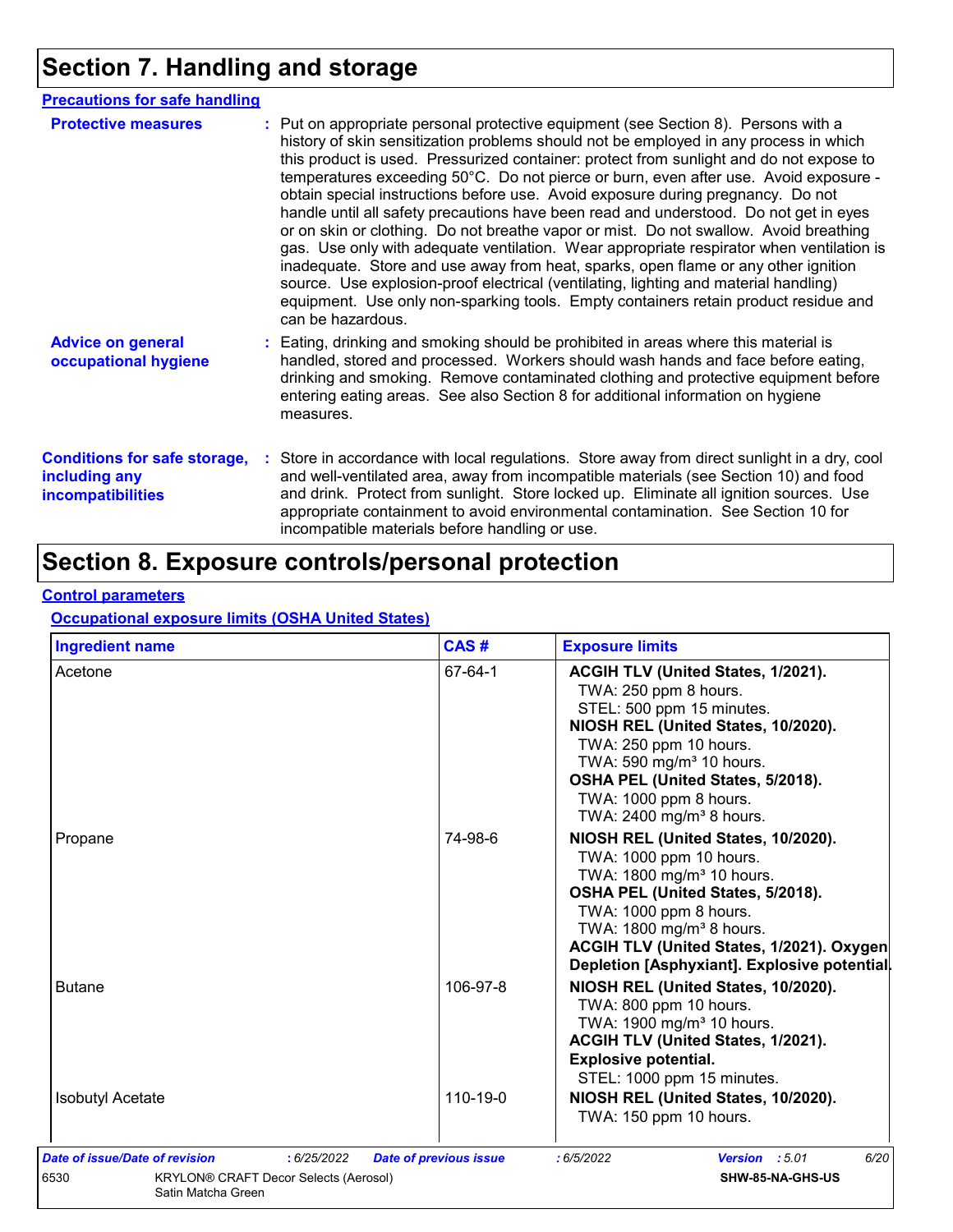## **Section 7. Handling and storage**

| <b>Precautions for safe handling</b>                                             |                                                                                                                                                                                                                                                                                                                                                                                                                                                                                                                                                                                                                                                                                                                                                                                                                                                                                                                                                                                                                           |
|----------------------------------------------------------------------------------|---------------------------------------------------------------------------------------------------------------------------------------------------------------------------------------------------------------------------------------------------------------------------------------------------------------------------------------------------------------------------------------------------------------------------------------------------------------------------------------------------------------------------------------------------------------------------------------------------------------------------------------------------------------------------------------------------------------------------------------------------------------------------------------------------------------------------------------------------------------------------------------------------------------------------------------------------------------------------------------------------------------------------|
| <b>Protective measures</b>                                                       | : Put on appropriate personal protective equipment (see Section 8). Persons with a<br>history of skin sensitization problems should not be employed in any process in which<br>this product is used. Pressurized container: protect from sunlight and do not expose to<br>temperatures exceeding 50°C. Do not pierce or burn, even after use. Avoid exposure -<br>obtain special instructions before use. Avoid exposure during pregnancy. Do not<br>handle until all safety precautions have been read and understood. Do not get in eyes<br>or on skin or clothing. Do not breathe vapor or mist. Do not swallow. Avoid breathing<br>gas. Use only with adequate ventilation. Wear appropriate respirator when ventilation is<br>inadequate. Store and use away from heat, sparks, open flame or any other ignition<br>source. Use explosion-proof electrical (ventilating, lighting and material handling)<br>equipment. Use only non-sparking tools. Empty containers retain product residue and<br>can be hazardous. |
| <b>Advice on general</b><br>occupational hygiene                                 | : Eating, drinking and smoking should be prohibited in areas where this material is<br>handled, stored and processed. Workers should wash hands and face before eating,<br>drinking and smoking. Remove contaminated clothing and protective equipment before<br>entering eating areas. See also Section 8 for additional information on hygiene<br>measures.                                                                                                                                                                                                                                                                                                                                                                                                                                                                                                                                                                                                                                                             |
| <b>Conditions for safe storage,</b><br>including any<br><b>incompatibilities</b> | : Store in accordance with local regulations. Store away from direct sunlight in a dry, cool<br>and well-ventilated area, away from incompatible materials (see Section 10) and food<br>and drink. Protect from sunlight. Store locked up. Eliminate all ignition sources. Use<br>appropriate containment to avoid environmental contamination. See Section 10 for<br>incompatible materials before handling or use.                                                                                                                                                                                                                                                                                                                                                                                                                                                                                                                                                                                                      |

## **Section 8. Exposure controls/personal protection**

#### **Control parameters**

#### **Occupational exposure limits (OSHA United States)**

| <b>Ingredient name</b>                        | CAS#                          | <b>Exposure limits</b>                                                                                                                                                                                                                                                                                      |
|-----------------------------------------------|-------------------------------|-------------------------------------------------------------------------------------------------------------------------------------------------------------------------------------------------------------------------------------------------------------------------------------------------------------|
| Acetone                                       | 67-64-1                       | ACGIH TLV (United States, 1/2021).<br>TWA: 250 ppm 8 hours.<br>STEL: 500 ppm 15 minutes.<br>NIOSH REL (United States, 10/2020).<br>TWA: 250 ppm 10 hours.<br>TWA: 590 mg/m <sup>3</sup> 10 hours.<br>OSHA PEL (United States, 5/2018).<br>TWA: 1000 ppm 8 hours.<br>TWA: 2400 mg/m <sup>3</sup> 8 hours.    |
| Propane                                       | 74-98-6                       | NIOSH REL (United States, 10/2020).<br>TWA: 1000 ppm 10 hours.<br>TWA: 1800 mg/m <sup>3</sup> 10 hours.<br>OSHA PEL (United States, 5/2018).<br>TWA: 1000 ppm 8 hours.<br>TWA: 1800 mg/m <sup>3</sup> 8 hours.<br>ACGIH TLV (United States, 1/2021). Oxygen<br>Depletion [Asphyxiant]. Explosive potential. |
| <b>Butane</b>                                 | 106-97-8                      | NIOSH REL (United States, 10/2020).<br>TWA: 800 ppm 10 hours.<br>TWA: 1900 mg/m <sup>3</sup> 10 hours.<br>ACGIH TLV (United States, 1/2021).<br><b>Explosive potential.</b><br>STEL: 1000 ppm 15 minutes.                                                                                                   |
| <b>Isobutyl Acetate</b>                       | 110-19-0                      | NIOSH REL (United States, 10/2020).<br>TWA: 150 ppm 10 hours.                                                                                                                                                                                                                                               |
| Date of issue/Date of revision<br>: 6/25/2022 | <b>Date of previous issue</b> | 6/20<br>Version : 5.01<br>:6/5/2022                                                                                                                                                                                                                                                                         |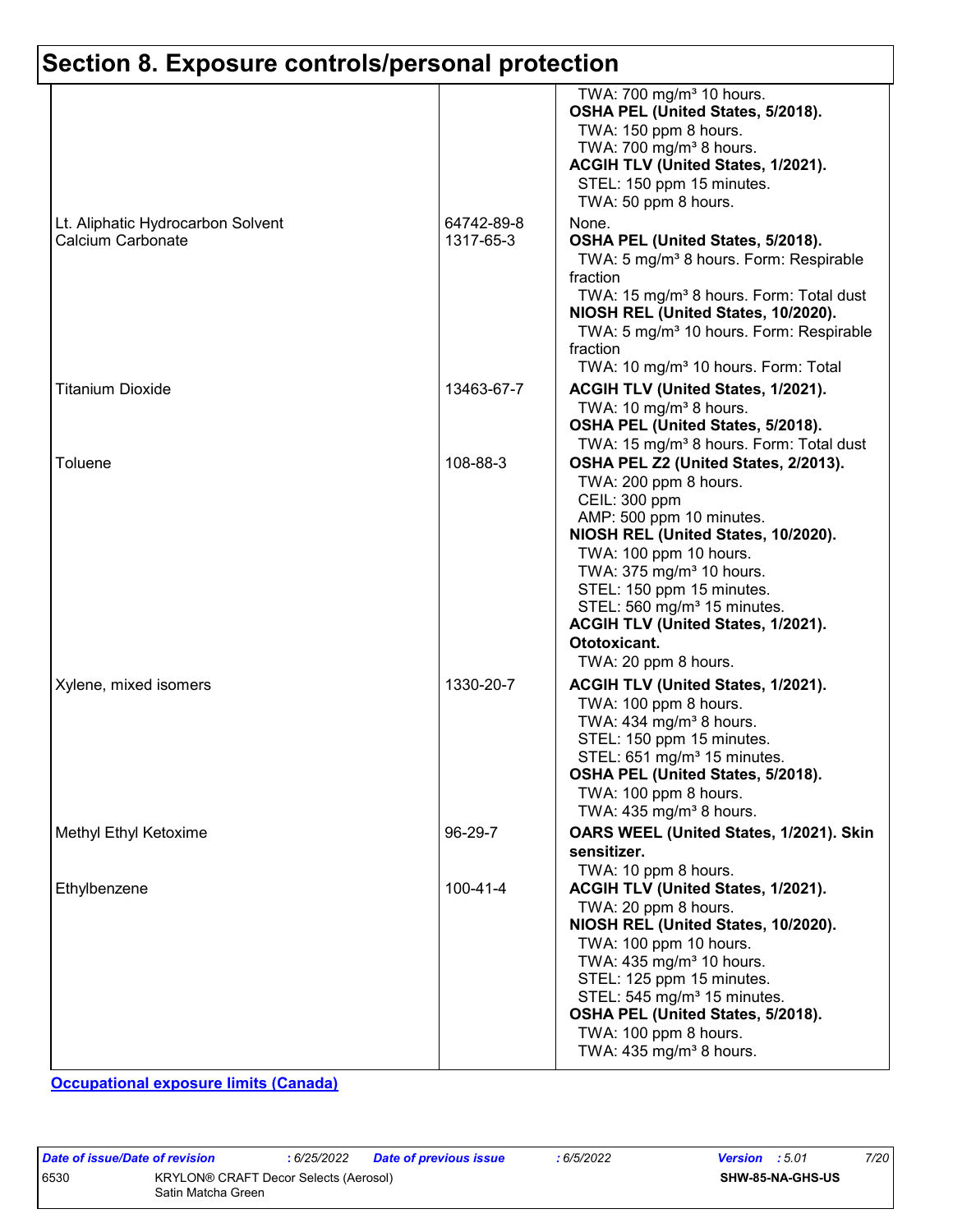|                                                        |                         | TWA: 700 mg/m <sup>3</sup> 10 hours.<br>OSHA PEL (United States, 5/2018).<br>TWA: 150 ppm 8 hours.<br>TWA: 700 mg/m <sup>3</sup> 8 hours.<br>ACGIH TLV (United States, 1/2021).<br>STEL: 150 ppm 15 minutes.<br>TWA: 50 ppm 8 hours.                                                                                                                                      |
|--------------------------------------------------------|-------------------------|---------------------------------------------------------------------------------------------------------------------------------------------------------------------------------------------------------------------------------------------------------------------------------------------------------------------------------------------------------------------------|
| Lt. Aliphatic Hydrocarbon Solvent<br>Calcium Carbonate | 64742-89-8<br>1317-65-3 | None.<br>OSHA PEL (United States, 5/2018).<br>TWA: 5 mg/m <sup>3</sup> 8 hours. Form: Respirable<br>fraction<br>TWA: 15 mg/m <sup>3</sup> 8 hours. Form: Total dust<br>NIOSH REL (United States, 10/2020).<br>TWA: 5 mg/m <sup>3</sup> 10 hours. Form: Respirable<br>fraction<br>TWA: 10 mg/m <sup>3</sup> 10 hours. Form: Total                                          |
| <b>Titanium Dioxide</b>                                | 13463-67-7              | ACGIH TLV (United States, 1/2021).<br>TWA: 10 mg/m <sup>3</sup> 8 hours.<br>OSHA PEL (United States, 5/2018).<br>TWA: 15 mg/m <sup>3</sup> 8 hours. Form: Total dust                                                                                                                                                                                                      |
| Toluene                                                | 108-88-3                | OSHA PEL Z2 (United States, 2/2013).<br>TWA: 200 ppm 8 hours.<br>CEIL: 300 ppm<br>AMP: 500 ppm 10 minutes.<br>NIOSH REL (United States, 10/2020).<br>TWA: 100 ppm 10 hours.<br>TWA: 375 mg/m <sup>3</sup> 10 hours.<br>STEL: 150 ppm 15 minutes.<br>STEL: 560 mg/m <sup>3</sup> 15 minutes.<br>ACGIH TLV (United States, 1/2021).<br>Ototoxicant.<br>TWA: 20 ppm 8 hours. |
| Xylene, mixed isomers                                  | 1330-20-7               | ACGIH TLV (United States, 1/2021).<br>TWA: 100 ppm 8 hours.<br>TWA: 434 mg/m <sup>3</sup> 8 hours.<br>STEL: 150 ppm 15 minutes.<br>STEL: 651 mg/m <sup>3</sup> 15 minutes.<br>OSHA PEL (United States, 5/2018).<br>TWA: 100 ppm 8 hours.<br>TWA: 435 mg/m <sup>3</sup> 8 hours.                                                                                           |
| Methyl Ethyl Ketoxime                                  | 96-29-7                 | OARS WEEL (United States, 1/2021). Skin<br>sensitizer.<br>TWA: 10 ppm 8 hours.                                                                                                                                                                                                                                                                                            |
| Ethylbenzene                                           | 100-41-4                | ACGIH TLV (United States, 1/2021).<br>TWA: 20 ppm 8 hours.<br>NIOSH REL (United States, 10/2020).<br>TWA: 100 ppm 10 hours.<br>TWA: 435 mg/m <sup>3</sup> 10 hours.<br>STEL: 125 ppm 15 minutes.<br>STEL: 545 mg/m <sup>3</sup> 15 minutes.<br>OSHA PEL (United States, 5/2018).<br>TWA: 100 ppm 8 hours.<br>TWA: $435 \text{ mg/m}^3$ 8 hours.                           |

**Occupational exposure limits (Canada)**

| Date of issue/Date of revision |                                                             | : 6/25/2022 | <b>Date of previous issue</b> | : 6/5/2022 | <b>Version</b> : 5.01   |  | 7/20 |
|--------------------------------|-------------------------------------------------------------|-------------|-------------------------------|------------|-------------------------|--|------|
| 6530                           | KRYLON® CRAFT Decor Selects (Aerosol)<br>Satin Matcha Green |             |                               |            | <b>SHW-85-NA-GHS-US</b> |  |      |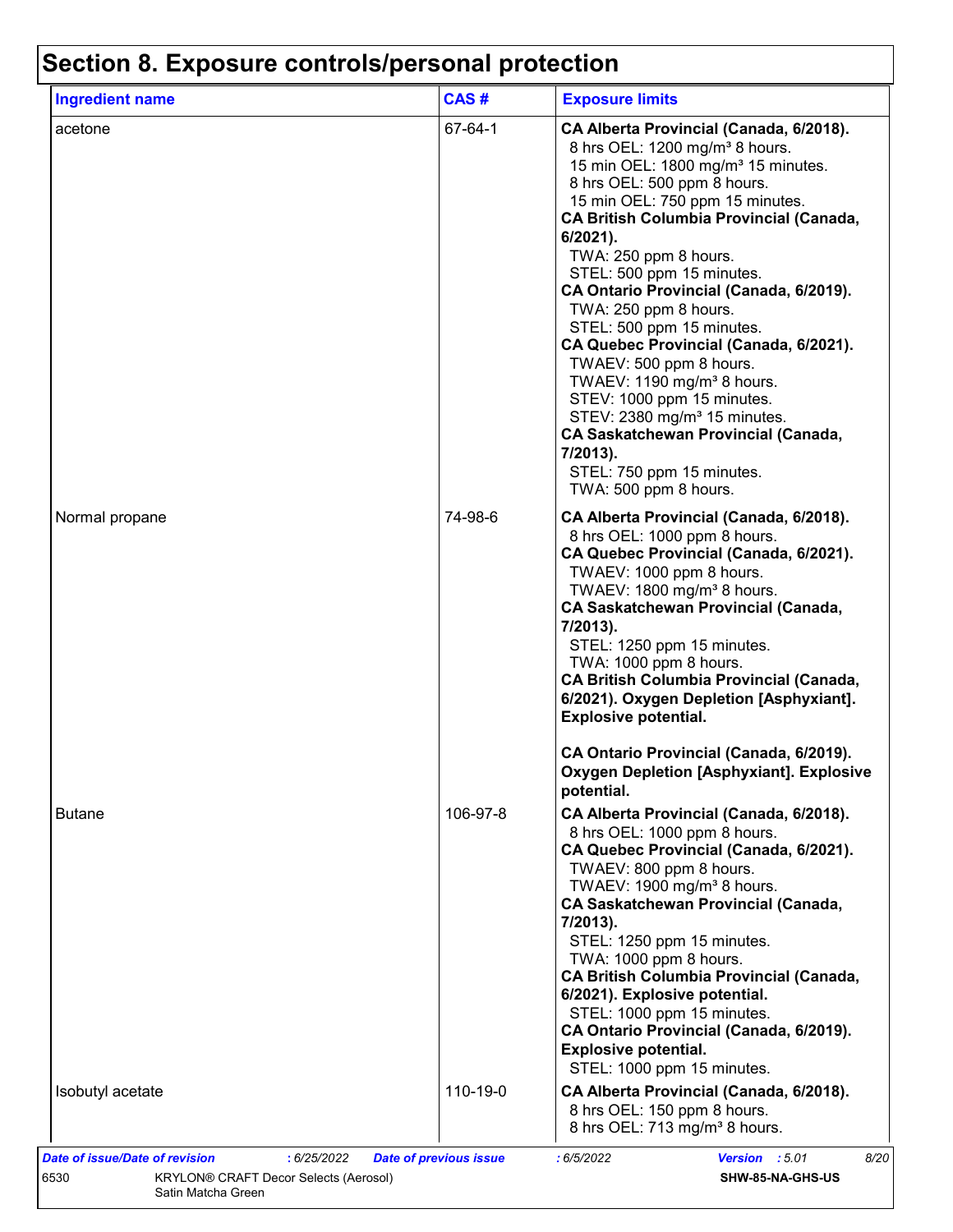| <b>Ingredient name</b> | CAS#     | <b>Exposure limits</b>                                                                                                                                                                                                                                                                                                                                                                                                                                                                                                                                                                                                                                                                                                                  |
|------------------------|----------|-----------------------------------------------------------------------------------------------------------------------------------------------------------------------------------------------------------------------------------------------------------------------------------------------------------------------------------------------------------------------------------------------------------------------------------------------------------------------------------------------------------------------------------------------------------------------------------------------------------------------------------------------------------------------------------------------------------------------------------------|
| acetone                | 67-64-1  | CA Alberta Provincial (Canada, 6/2018).<br>8 hrs OEL: 1200 mg/m <sup>3</sup> 8 hours.<br>15 min OEL: 1800 mg/m <sup>3</sup> 15 minutes.<br>8 hrs OEL: 500 ppm 8 hours.<br>15 min OEL: 750 ppm 15 minutes.<br><b>CA British Columbia Provincial (Canada,</b><br>6/2021).<br>TWA: 250 ppm 8 hours.<br>STEL: 500 ppm 15 minutes.<br>CA Ontario Provincial (Canada, 6/2019).<br>TWA: 250 ppm 8 hours.<br>STEL: 500 ppm 15 minutes.<br>CA Quebec Provincial (Canada, 6/2021).<br>TWAEV: 500 ppm 8 hours.<br>TWAEV: 1190 mg/m <sup>3</sup> 8 hours.<br>STEV: 1000 ppm 15 minutes.<br>STEV: 2380 mg/m <sup>3</sup> 15 minutes.<br><b>CA Saskatchewan Provincial (Canada,</b><br>7/2013).<br>STEL: 750 ppm 15 minutes.<br>TWA: 500 ppm 8 hours. |
| Normal propane         | 74-98-6  | CA Alberta Provincial (Canada, 6/2018).<br>8 hrs OEL: 1000 ppm 8 hours.<br>CA Quebec Provincial (Canada, 6/2021).<br>TWAEV: 1000 ppm 8 hours.<br>TWAEV: 1800 mg/m <sup>3</sup> 8 hours.<br><b>CA Saskatchewan Provincial (Canada,</b><br>7/2013).<br>STEL: 1250 ppm 15 minutes.<br>TWA: 1000 ppm 8 hours.<br><b>CA British Columbia Provincial (Canada,</b><br>6/2021). Oxygen Depletion [Asphyxiant].<br><b>Explosive potential.</b>                                                                                                                                                                                                                                                                                                   |
|                        |          | CA Ontario Provincial (Canada, 6/2019).<br><b>Oxygen Depletion [Asphyxiant]. Explosive</b><br>potential.                                                                                                                                                                                                                                                                                                                                                                                                                                                                                                                                                                                                                                |
| <b>Butane</b>          | 106-97-8 | CA Alberta Provincial (Canada, 6/2018).<br>8 hrs OEL: 1000 ppm 8 hours.<br>CA Quebec Provincial (Canada, 6/2021).<br>TWAEV: 800 ppm 8 hours.<br>TWAEV: 1900 mg/m <sup>3</sup> 8 hours.<br><b>CA Saskatchewan Provincial (Canada,</b><br>7/2013).<br>STEL: 1250 ppm 15 minutes.<br>TWA: 1000 ppm 8 hours.<br><b>CA British Columbia Provincial (Canada,</b><br>6/2021). Explosive potential.<br>STEL: 1000 ppm 15 minutes.<br>CA Ontario Provincial (Canada, 6/2019).<br><b>Explosive potential.</b><br>STEL: 1000 ppm 15 minutes.                                                                                                                                                                                                       |
| Isobutyl acetate       | 110-19-0 | CA Alberta Provincial (Canada, 6/2018).<br>8 hrs OEL: 150 ppm 8 hours.<br>8 hrs OEL: 713 mg/m <sup>3</sup> 8 hours.                                                                                                                                                                                                                                                                                                                                                                                                                                                                                                                                                                                                                     |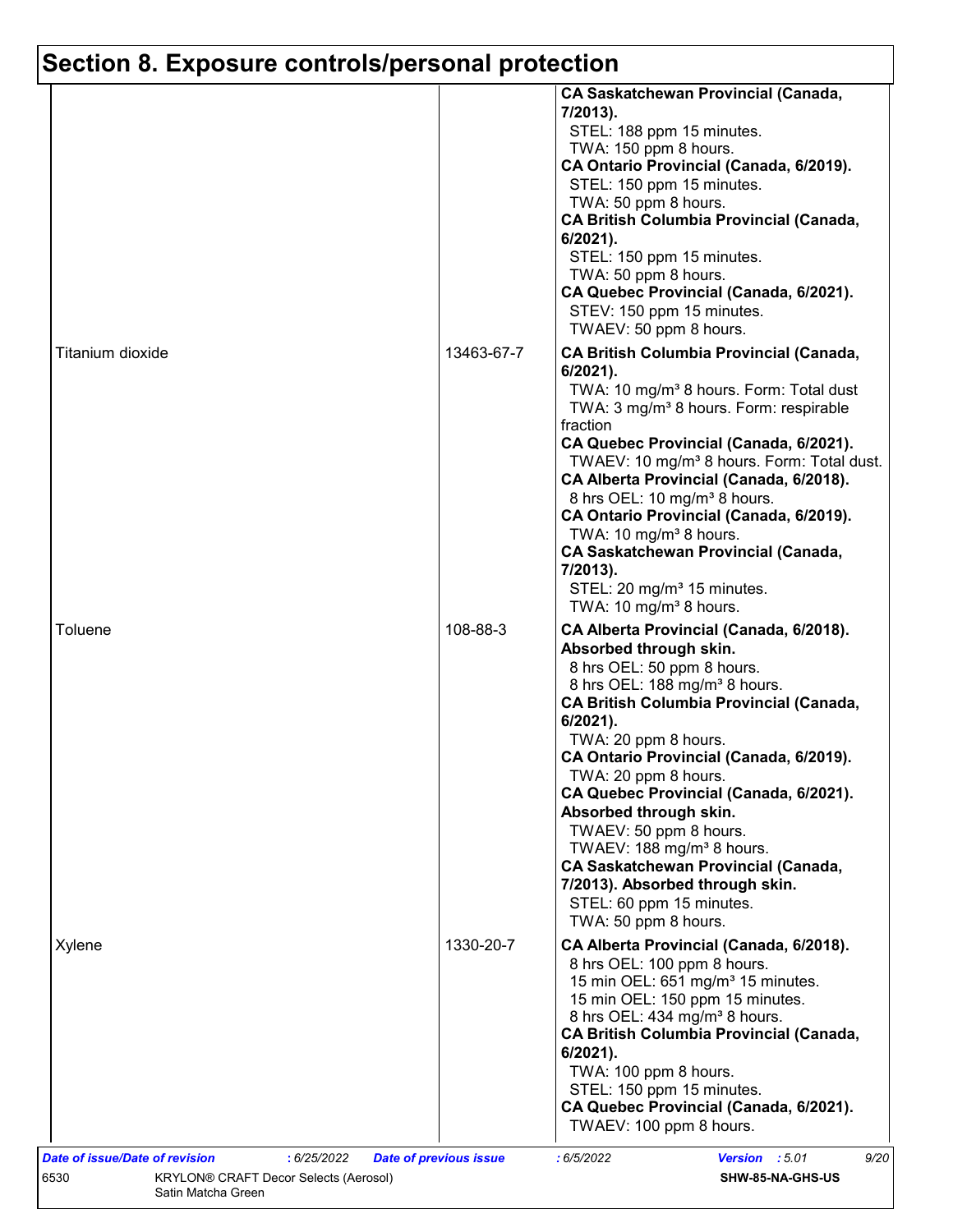|                  |            | <b>CA Saskatchewan Provincial (Canada,</b><br>7/2013).<br>STEL: 188 ppm 15 minutes.<br>TWA: 150 ppm 8 hours.<br>CA Ontario Provincial (Canada, 6/2019).<br>STEL: 150 ppm 15 minutes.<br>TWA: 50 ppm 8 hours.<br><b>CA British Columbia Provincial (Canada,</b><br>6/2021).<br>STEL: 150 ppm 15 minutes.<br>TWA: 50 ppm 8 hours.<br>CA Quebec Provincial (Canada, 6/2021).<br>STEV: 150 ppm 15 minutes.<br>TWAEV: 50 ppm 8 hours.                                                                                                                                                                             |
|------------------|------------|--------------------------------------------------------------------------------------------------------------------------------------------------------------------------------------------------------------------------------------------------------------------------------------------------------------------------------------------------------------------------------------------------------------------------------------------------------------------------------------------------------------------------------------------------------------------------------------------------------------|
| Titanium dioxide | 13463-67-7 | <b>CA British Columbia Provincial (Canada,</b><br>$6/2021$ ).<br>TWA: 10 mg/m <sup>3</sup> 8 hours. Form: Total dust<br>TWA: 3 mg/m <sup>3</sup> 8 hours. Form: respirable<br>fraction<br>CA Quebec Provincial (Canada, 6/2021).<br>TWAEV: 10 mg/m <sup>3</sup> 8 hours. Form: Total dust.<br>CA Alberta Provincial (Canada, 6/2018).<br>8 hrs OEL: 10 mg/m <sup>3</sup> 8 hours.<br>CA Ontario Provincial (Canada, 6/2019).<br>TWA: 10 mg/m <sup>3</sup> 8 hours.<br><b>CA Saskatchewan Provincial (Canada,</b><br>7/2013).<br>STEL: 20 mg/m <sup>3</sup> 15 minutes.<br>TWA: 10 mg/m <sup>3</sup> 8 hours. |
| Toluene          | 108-88-3   | CA Alberta Provincial (Canada, 6/2018).<br>Absorbed through skin.<br>8 hrs OEL: 50 ppm 8 hours.<br>8 hrs OEL: 188 mg/m <sup>3</sup> 8 hours.<br><b>CA British Columbia Provincial (Canada,</b><br>$6/2021$ ).<br>TWA: 20 ppm 8 hours.<br>CA Ontario Provincial (Canada, 6/2019).<br>TWA: 20 ppm 8 hours.<br>CA Quebec Provincial (Canada, 6/2021).<br>Absorbed through skin.<br>TWAEV: 50 ppm 8 hours.<br>TWAEV: 188 mg/m <sup>3</sup> 8 hours.<br><b>CA Saskatchewan Provincial (Canada,</b><br>7/2013). Absorbed through skin.<br>STEL: 60 ppm 15 minutes.<br>TWA: 50 ppm 8 hours.                         |
| Xylene           | 1330-20-7  | CA Alberta Provincial (Canada, 6/2018).<br>8 hrs OEL: 100 ppm 8 hours.<br>15 min OEL: 651 mg/m <sup>3</sup> 15 minutes.<br>15 min OEL: 150 ppm 15 minutes.<br>8 hrs OEL: 434 mg/m <sup>3</sup> 8 hours.<br><b>CA British Columbia Provincial (Canada,</b><br>$6/2021$ ).<br>TWA: 100 ppm 8 hours.<br>STEL: 150 ppm 15 minutes.<br>CA Quebec Provincial (Canada, 6/2021).<br>TWAEV: 100 ppm 8 hours.                                                                                                                                                                                                          |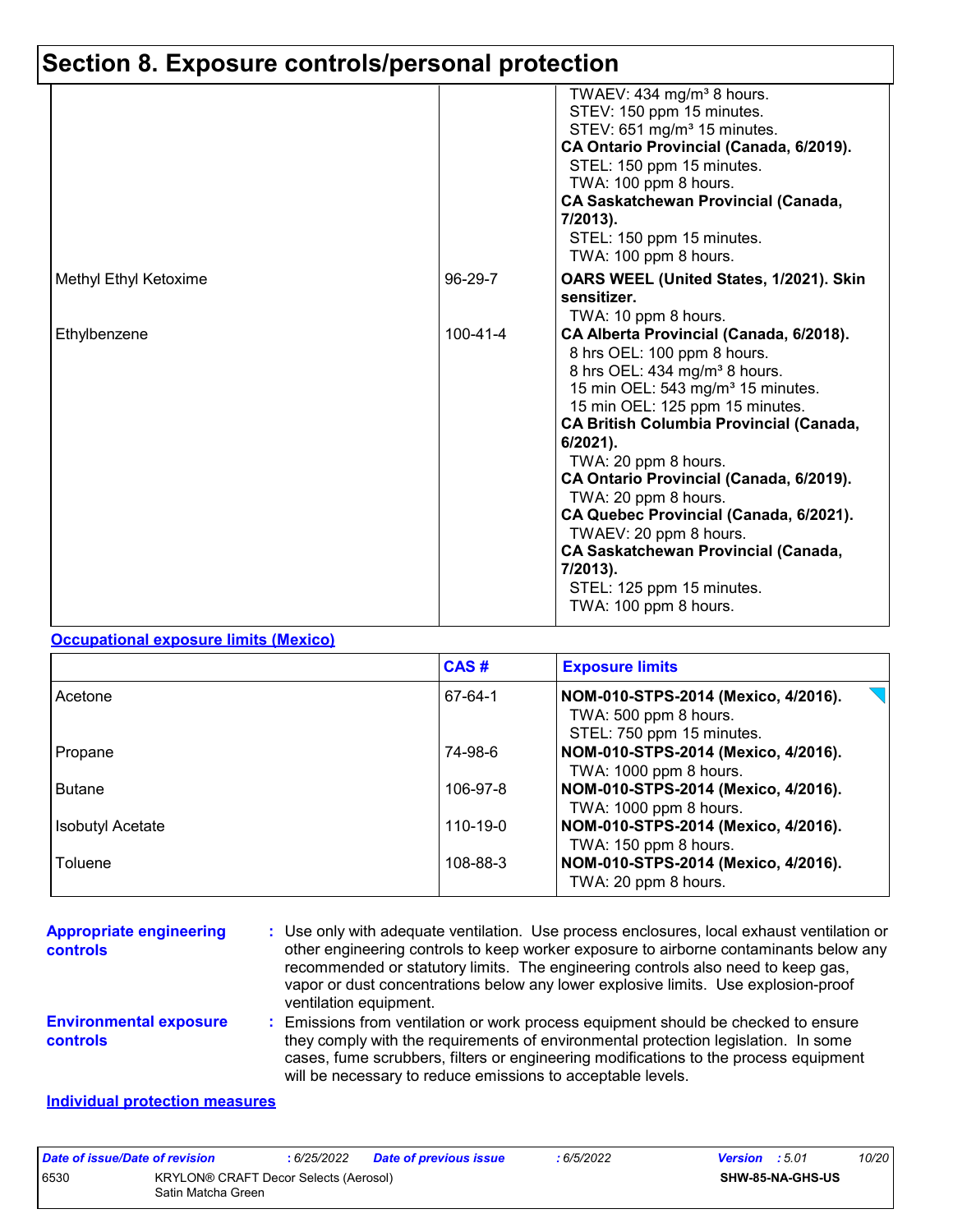|                       |                | TWAEV: 434 mg/m <sup>3</sup> 8 hours.<br>STEV: 150 ppm 15 minutes.<br>STEV: 651 mg/m <sup>3</sup> 15 minutes.<br>CA Ontario Provincial (Canada, 6/2019).<br>STEL: 150 ppm 15 minutes.<br>TWA: 100 ppm 8 hours.<br><b>CA Saskatchewan Provincial (Canada,</b><br>7/2013).<br>STEL: 150 ppm 15 minutes.                                                                                                                                                                                                                                                   |
|-----------------------|----------------|---------------------------------------------------------------------------------------------------------------------------------------------------------------------------------------------------------------------------------------------------------------------------------------------------------------------------------------------------------------------------------------------------------------------------------------------------------------------------------------------------------------------------------------------------------|
|                       |                | TWA: 100 ppm 8 hours.                                                                                                                                                                                                                                                                                                                                                                                                                                                                                                                                   |
| Methyl Ethyl Ketoxime | 96-29-7        | OARS WEEL (United States, 1/2021). Skin<br>sensitizer.<br>TWA: 10 ppm 8 hours.                                                                                                                                                                                                                                                                                                                                                                                                                                                                          |
| Ethylbenzene          | $100 - 41 - 4$ | CA Alberta Provincial (Canada, 6/2018).<br>8 hrs OEL: 100 ppm 8 hours.<br>8 hrs OEL: 434 mg/m <sup>3</sup> 8 hours.<br>15 min OEL: 543 mg/m <sup>3</sup> 15 minutes.<br>15 min OEL: 125 ppm 15 minutes.<br><b>CA British Columbia Provincial (Canada,</b><br>$6/2021$ ).<br>TWA: 20 ppm 8 hours.<br>CA Ontario Provincial (Canada, 6/2019).<br>TWA: 20 ppm 8 hours.<br>CA Quebec Provincial (Canada, 6/2021).<br>TWAEV: 20 ppm 8 hours.<br><b>CA Saskatchewan Provincial (Canada,</b><br>7/2013).<br>STEL: 125 ppm 15 minutes.<br>TWA: 100 ppm 8 hours. |

### **Occupational exposure limits (Mexico)**

|                         | CAS#     | <b>Exposure limits</b>                                       |
|-------------------------|----------|--------------------------------------------------------------|
| Acetone                 | 67-64-1  | NOM-010-STPS-2014 (Mexico, 4/2016).<br>TWA: 500 ppm 8 hours. |
|                         |          | STEL: 750 ppm 15 minutes.                                    |
| Propane                 | 74-98-6  | NOM-010-STPS-2014 (Mexico, 4/2016).                          |
|                         |          | TWA: 1000 ppm 8 hours.                                       |
| <b>Butane</b>           | 106-97-8 | NOM-010-STPS-2014 (Mexico, 4/2016).                          |
|                         |          | TWA: 1000 ppm 8 hours.                                       |
| <b>Isobutyl Acetate</b> | 110-19-0 | NOM-010-STPS-2014 (Mexico, 4/2016).                          |
|                         |          | TWA: 150 ppm 8 hours.                                        |
| Toluene                 | 108-88-3 | NOM-010-STPS-2014 (Mexico, 4/2016).                          |
|                         |          | TWA: 20 ppm 8 hours.                                         |

| <b>Appropriate engineering</b><br><b>controls</b> | : Use only with adequate ventilation. Use process enclosures, local exhaust ventilation or<br>other engineering controls to keep worker exposure to airborne contaminants below any<br>recommended or statutory limits. The engineering controls also need to keep gas,<br>vapor or dust concentrations below any lower explosive limits. Use explosion-proof<br>ventilation equipment. |
|---------------------------------------------------|-----------------------------------------------------------------------------------------------------------------------------------------------------------------------------------------------------------------------------------------------------------------------------------------------------------------------------------------------------------------------------------------|
| <b>Environmental exposure</b><br>controls         | Emissions from ventilation or work process equipment should be checked to ensure<br>they comply with the requirements of environmental protection legislation. In some<br>cases, fume scrubbers, filters or engineering modifications to the process equipment<br>will be necessary to reduce emissions to acceptable levels.                                                           |
|                                                   |                                                                                                                                                                                                                                                                                                                                                                                         |

#### **Individual protection measures**

| Date of issue/Date of revision |                                                             | 6/25/2022 | Date of previous issue | : 6/5/2022 | <b>Version</b> : 5.01 |  | 10/20 |
|--------------------------------|-------------------------------------------------------------|-----------|------------------------|------------|-----------------------|--|-------|
| 6530                           | KRYLON® CRAFT Decor Selects (Aerosol)<br>Satin Matcha Green |           |                        |            | SHW-85-NA-GHS-US      |  |       |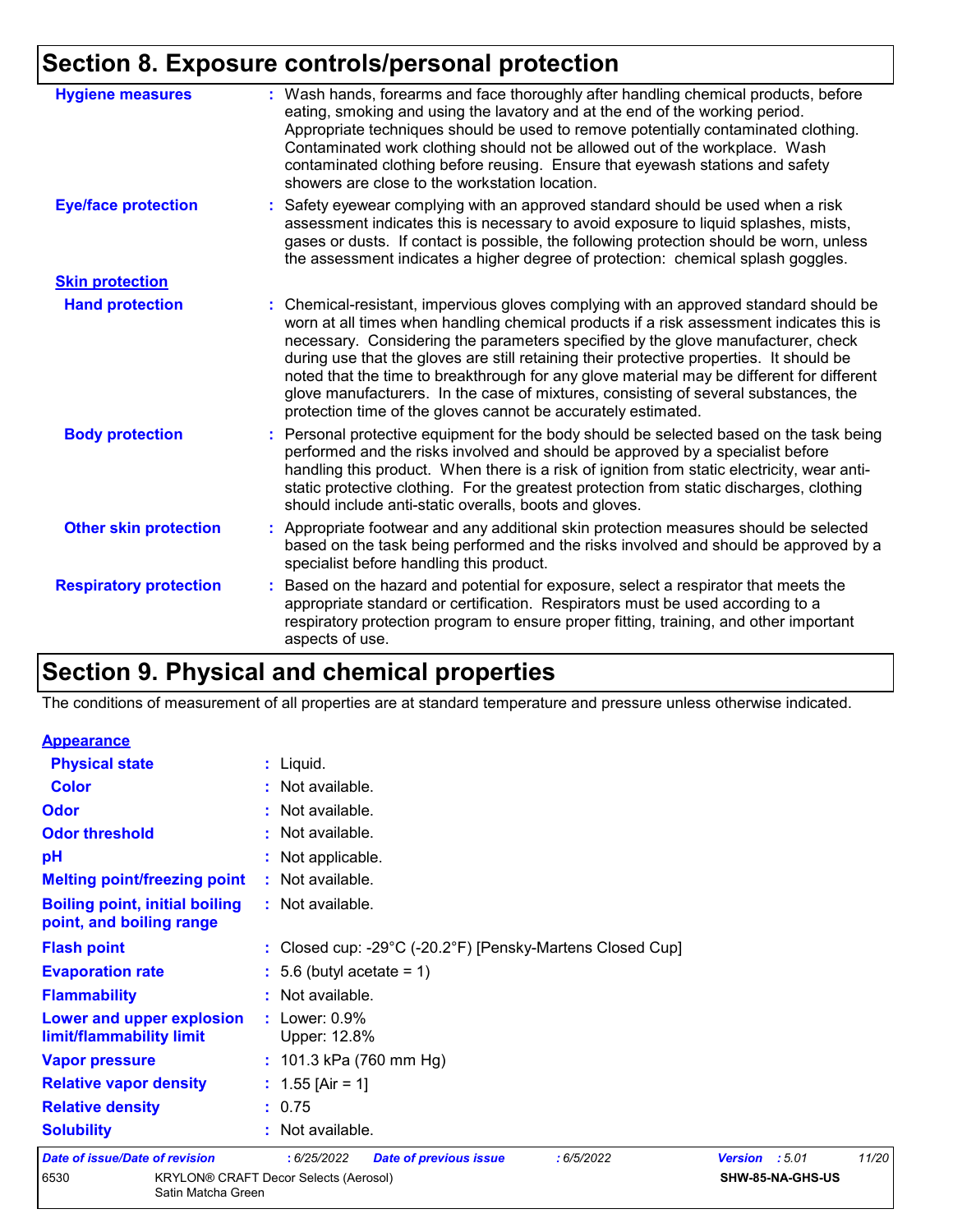| <b>Hygiene measures</b>       | : Wash hands, forearms and face thoroughly after handling chemical products, before<br>eating, smoking and using the lavatory and at the end of the working period.<br>Appropriate techniques should be used to remove potentially contaminated clothing.<br>Contaminated work clothing should not be allowed out of the workplace. Wash<br>contaminated clothing before reusing. Ensure that eyewash stations and safety<br>showers are close to the workstation location.                                                                                                                                            |
|-------------------------------|------------------------------------------------------------------------------------------------------------------------------------------------------------------------------------------------------------------------------------------------------------------------------------------------------------------------------------------------------------------------------------------------------------------------------------------------------------------------------------------------------------------------------------------------------------------------------------------------------------------------|
| <b>Eye/face protection</b>    | : Safety eyewear complying with an approved standard should be used when a risk<br>assessment indicates this is necessary to avoid exposure to liquid splashes, mists,<br>gases or dusts. If contact is possible, the following protection should be worn, unless<br>the assessment indicates a higher degree of protection: chemical splash goggles.                                                                                                                                                                                                                                                                  |
| <b>Skin protection</b>        |                                                                                                                                                                                                                                                                                                                                                                                                                                                                                                                                                                                                                        |
| <b>Hand protection</b>        | : Chemical-resistant, impervious gloves complying with an approved standard should be<br>worn at all times when handling chemical products if a risk assessment indicates this is<br>necessary. Considering the parameters specified by the glove manufacturer, check<br>during use that the gloves are still retaining their protective properties. It should be<br>noted that the time to breakthrough for any glove material may be different for different<br>glove manufacturers. In the case of mixtures, consisting of several substances, the<br>protection time of the gloves cannot be accurately estimated. |
| <b>Body protection</b>        | : Personal protective equipment for the body should be selected based on the task being<br>performed and the risks involved and should be approved by a specialist before<br>handling this product. When there is a risk of ignition from static electricity, wear anti-<br>static protective clothing. For the greatest protection from static discharges, clothing<br>should include anti-static overalls, boots and gloves.                                                                                                                                                                                         |
| <b>Other skin protection</b>  | : Appropriate footwear and any additional skin protection measures should be selected<br>based on the task being performed and the risks involved and should be approved by a<br>specialist before handling this product.                                                                                                                                                                                                                                                                                                                                                                                              |
| <b>Respiratory protection</b> | : Based on the hazard and potential for exposure, select a respirator that meets the<br>appropriate standard or certification. Respirators must be used according to a<br>respiratory protection program to ensure proper fitting, training, and other important<br>aspects of use.                                                                                                                                                                                                                                                                                                                                    |

## **Section 9. Physical and chemical properties**

The conditions of measurement of all properties are at standard temperature and pressure unless otherwise indicated.

| <b>Appearance</b>                                                 |                    |                                              |                                                           |           |                |                  |       |
|-------------------------------------------------------------------|--------------------|----------------------------------------------|-----------------------------------------------------------|-----------|----------------|------------------|-------|
| <b>Physical state</b>                                             |                    | $:$ Liquid.                                  |                                                           |           |                |                  |       |
| <b>Color</b>                                                      |                    | : Not available.                             |                                                           |           |                |                  |       |
| Odor                                                              |                    | : Not available.                             |                                                           |           |                |                  |       |
| <b>Odor threshold</b>                                             |                    | : Not available.                             |                                                           |           |                |                  |       |
| pH                                                                |                    | : Not applicable.                            |                                                           |           |                |                  |       |
| <b>Melting point/freezing point</b>                               |                    | : Not available.                             |                                                           |           |                |                  |       |
| <b>Boiling point, initial boiling</b><br>point, and boiling range |                    | : Not available.                             |                                                           |           |                |                  |       |
| <b>Flash point</b>                                                |                    |                                              | : Closed cup: -29°C (-20.2°F) [Pensky-Martens Closed Cup] |           |                |                  |       |
| <b>Evaporation rate</b>                                           |                    | $: 5.6$ (butyl acetate = 1)                  |                                                           |           |                |                  |       |
| <b>Flammability</b>                                               |                    | : Not available.                             |                                                           |           |                |                  |       |
| Lower and upper explosion<br>limit/flammability limit             |                    | $:$ Lower: $0.9\%$<br>Upper: 12.8%           |                                                           |           |                |                  |       |
| <b>Vapor pressure</b>                                             |                    | : 101.3 kPa (760 mm Hg)                      |                                                           |           |                |                  |       |
| <b>Relative vapor density</b>                                     |                    | : $1.55$ [Air = 1]                           |                                                           |           |                |                  |       |
| <b>Relative density</b>                                           |                    | : 0.75                                       |                                                           |           |                |                  |       |
| <b>Solubility</b>                                                 |                    | : Not available.                             |                                                           |           |                |                  |       |
| Date of issue/Date of revision                                    |                    | :6/25/2022                                   | <b>Date of previous issue</b>                             | :6/5/2022 | Version : 5.01 |                  | 11/20 |
| 6530                                                              | Satin Matcha Green | <b>KRYLON® CRAFT Decor Selects (Aerosol)</b> |                                                           |           |                | SHW-85-NA-GHS-US |       |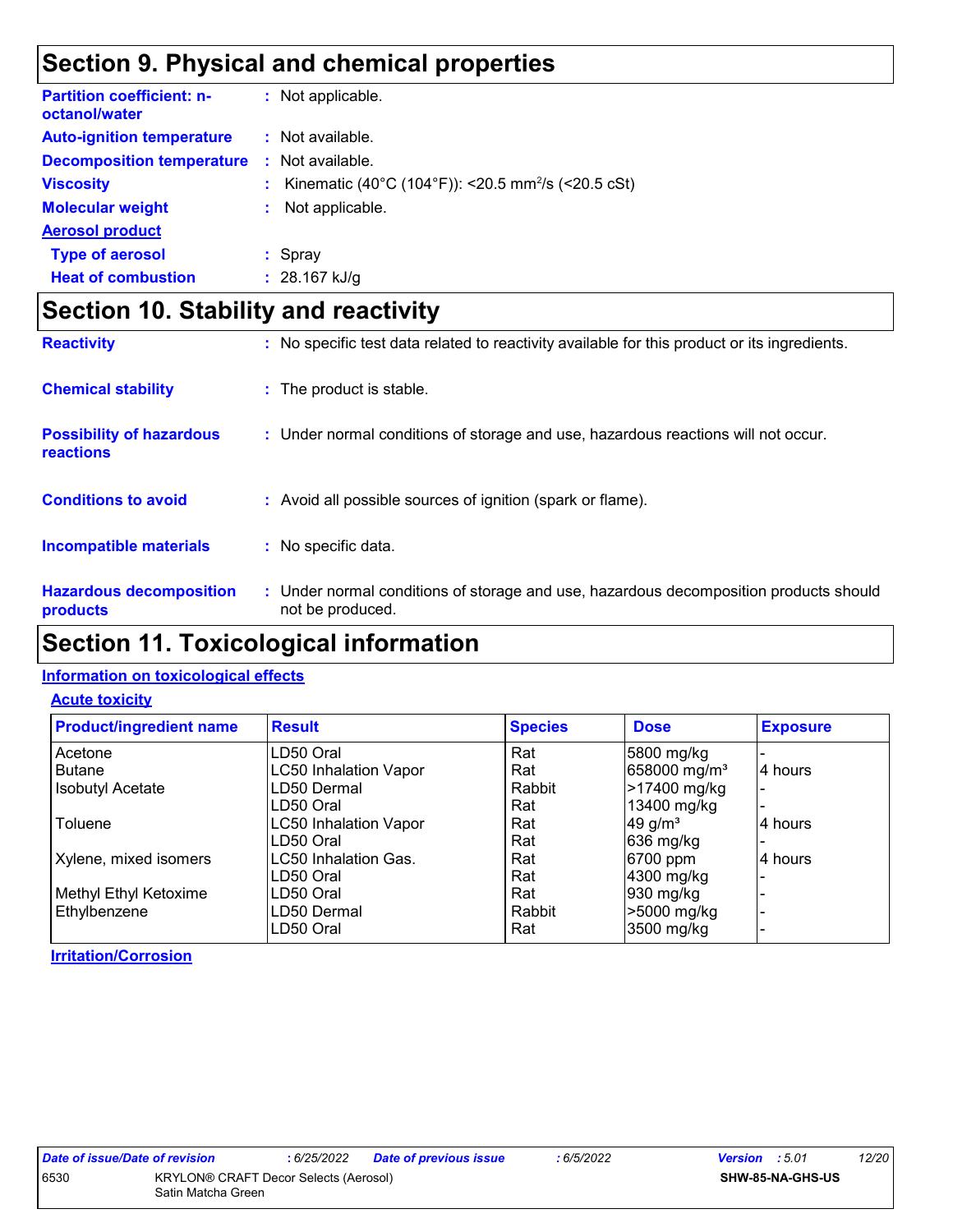## **Section 9. Physical and chemical properties**

| <b>Partition coefficient: n-</b><br>octanol/water | : Not applicable.                                                |
|---------------------------------------------------|------------------------------------------------------------------|
| <b>Auto-ignition temperature</b>                  | : Not available.                                                 |
| <b>Decomposition temperature</b>                  | $\therefore$ Not available.                                      |
| <b>Viscosity</b>                                  | : Kinematic (40°C (104°F)): <20.5 mm <sup>2</sup> /s (<20.5 cSt) |
| <b>Molecular weight</b>                           | Not applicable.                                                  |
| <b>Aerosol product</b>                            |                                                                  |
| <b>Type of aerosol</b>                            | : Spray                                                          |
| <b>Heat of combustion</b>                         | : $28.167$ kJ/g                                                  |

## **Section 10. Stability and reactivity**

| <b>Reactivity</b>                            | : No specific test data related to reactivity available for this product or its ingredients.              |
|----------------------------------------------|-----------------------------------------------------------------------------------------------------------|
| <b>Chemical stability</b>                    | : The product is stable.                                                                                  |
| <b>Possibility of hazardous</b><br>reactions | : Under normal conditions of storage and use, hazardous reactions will not occur.                         |
| <b>Conditions to avoid</b>                   | : Avoid all possible sources of ignition (spark or flame).                                                |
| <b>Incompatible materials</b>                | No specific data.<br>t.                                                                                   |
| <b>Hazardous decomposition</b><br>products   | : Under normal conditions of storage and use, hazardous decomposition products should<br>not be produced. |

### **Section 11. Toxicological information**

#### **Information on toxicological effects**

#### **Acute toxicity**

| <b>Product/ingredient name</b> | <b>Result</b>                | <b>Species</b> | <b>Dose</b>              | <b>Exposure</b> |
|--------------------------------|------------------------------|----------------|--------------------------|-----------------|
| Acetone                        | LD50 Oral                    | Rat            | 5800 mg/kg               |                 |
| <b>Butane</b>                  | <b>LC50 Inhalation Vapor</b> | Rat            | 658000 mg/m <sup>3</sup> | 4 hours         |
| <b>Isobutyl Acetate</b>        | LD50 Dermal                  | Rabbit         | >17400 mg/kg             |                 |
|                                | LD50 Oral                    | Rat            | 13400 mg/kg              |                 |
| Toluene                        | <b>LC50 Inhalation Vapor</b> | Rat            | 49 g/ $m3$               | 4 hours         |
|                                | LD50 Oral                    | Rat            | 636 mg/kg                |                 |
| Xylene, mixed isomers          | LC50 Inhalation Gas.         | Rat            | 6700 ppm                 | 4 hours         |
|                                | LD50 Oral                    | Rat            | 4300 mg/kg               |                 |
| Methyl Ethyl Ketoxime          | LD50 Oral                    | Rat            | 930 mg/kg                |                 |
| Ethylbenzene                   | LD50 Dermal                  | Rabbit         | >5000 mg/kg              |                 |
|                                | LD50 Oral                    | Rat            | 3500 mg/kg               |                 |

**Irritation/Corrosion**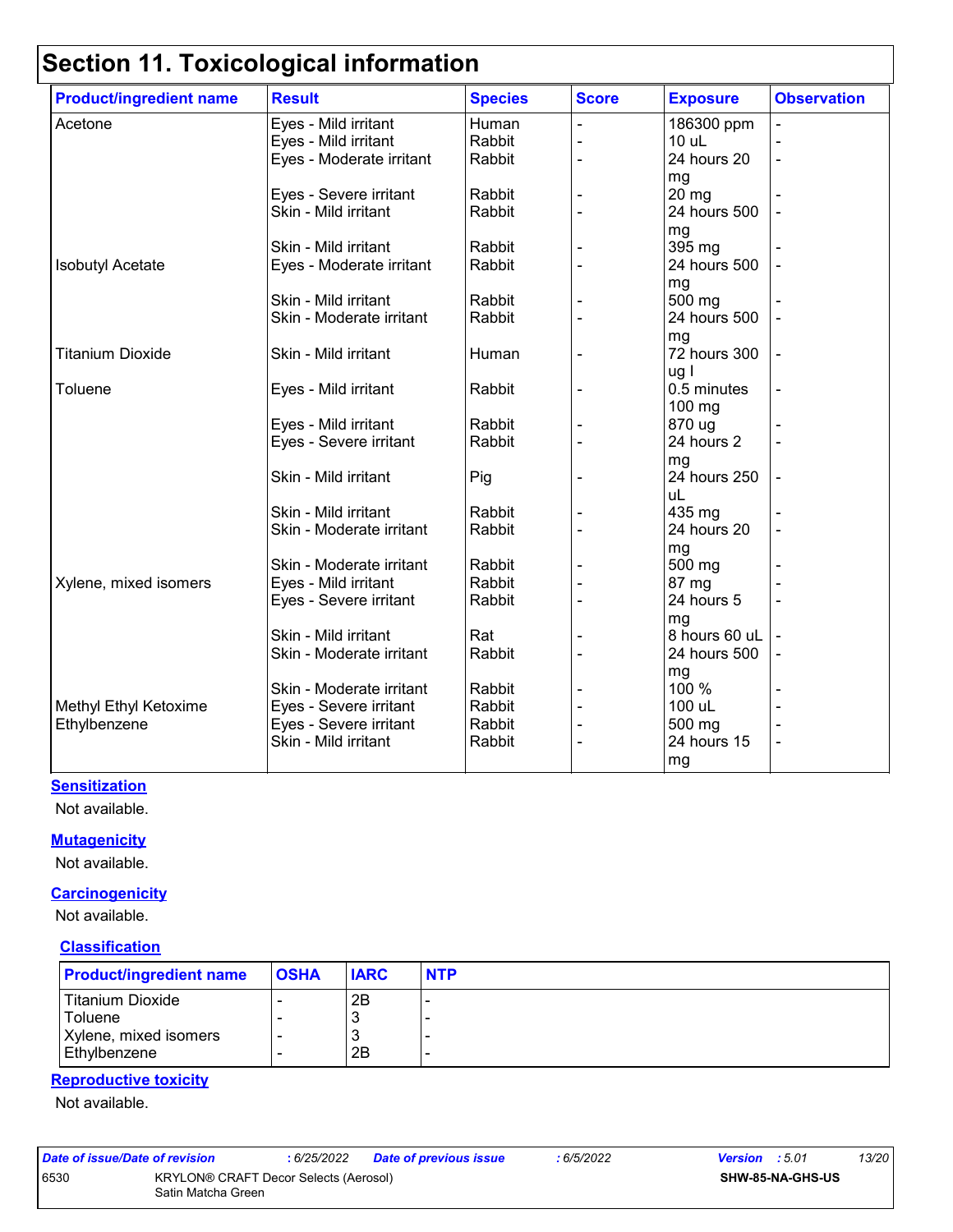| <b>Product/ingredient name</b> | <b>Result</b>            | <b>Species</b> | <b>Score</b> | <b>Exposure</b> | <b>Observation</b> |
|--------------------------------|--------------------------|----------------|--------------|-----------------|--------------------|
| Acetone                        | Eyes - Mild irritant     | Human          |              | 186300 ppm      |                    |
|                                | Eyes - Mild irritant     | Rabbit         |              | 10 uL           |                    |
|                                | Eyes - Moderate irritant | Rabbit         |              | 24 hours 20     |                    |
|                                |                          |                |              | mg              |                    |
|                                | Eyes - Severe irritant   | Rabbit         |              | 20 mg           |                    |
|                                | Skin - Mild irritant     | Rabbit         |              | 24 hours 500    |                    |
|                                |                          |                |              | mg              |                    |
|                                | Skin - Mild irritant     | Rabbit         |              | 395 mg          |                    |
| <b>Isobutyl Acetate</b>        | Eyes - Moderate irritant | Rabbit         |              | 24 hours 500    |                    |
|                                |                          |                |              | mg              |                    |
|                                | Skin - Mild irritant     | Rabbit         |              | 500 mg          |                    |
|                                | Skin - Moderate irritant | Rabbit         |              | 24 hours 500    |                    |
|                                |                          |                |              | mg              |                    |
| <b>Titanium Dioxide</b>        | Skin - Mild irritant     | Human          |              | 72 hours 300    |                    |
|                                |                          |                |              | ug l            |                    |
| Toluene                        | Eyes - Mild irritant     | Rabbit         |              | 0.5 minutes     |                    |
|                                |                          |                |              | 100 mg          |                    |
|                                | Eyes - Mild irritant     | Rabbit         |              | 870 ug          |                    |
|                                | Eyes - Severe irritant   | Rabbit         |              | 24 hours 2      |                    |
|                                |                          |                |              | mg              |                    |
|                                | Skin - Mild irritant     | Pig            |              | 24 hours 250    |                    |
|                                |                          |                |              | uL              |                    |
|                                | Skin - Mild irritant     | Rabbit         |              | 435 mg          |                    |
|                                | Skin - Moderate irritant | Rabbit         |              | 24 hours 20     |                    |
|                                |                          |                |              | mg              |                    |
|                                | Skin - Moderate irritant | Rabbit         |              | 500 mg          |                    |
| Xylene, mixed isomers          | Eyes - Mild irritant     | Rabbit         |              | 87 mg           |                    |
|                                | Eyes - Severe irritant   | Rabbit         |              | 24 hours 5      |                    |
|                                |                          |                |              | mg              |                    |
|                                | Skin - Mild irritant     | Rat            |              | 8 hours 60 uL   |                    |
|                                | Skin - Moderate irritant | Rabbit         |              | 24 hours 500    |                    |
|                                |                          |                |              | mg              |                    |
|                                | Skin - Moderate irritant | Rabbit         |              | 100 %           |                    |
| Methyl Ethyl Ketoxime          | Eyes - Severe irritant   | Rabbit         |              | 100 uL          |                    |
| Ethylbenzene                   | Eyes - Severe irritant   | Rabbit         |              | 500 mg          |                    |
|                                | Skin - Mild irritant     | Rabbit         |              | 24 hours 15     |                    |
|                                |                          |                |              | mg              |                    |

#### **Sensitization**

Not available.

#### **Mutagenicity**

Not available.

#### **Carcinogenicity**

Not available.

#### **Classification**

| <b>Product/ingredient name</b> | <b>OSHA</b> | <b>IARC</b> | <b>NTP</b> |
|--------------------------------|-------------|-------------|------------|
| <b>Titanium Dioxide</b>        |             | 2B          |            |
| <b>Toluene</b>                 |             | J           |            |
| Xylene, mixed isomers          |             | J           |            |
| Ethylbenzene                   | -           | 2B          |            |

### **Reproductive toxicity**

Not available.

| Date of issue/Date of revision                                      |  | : 6/25/2022 | <b>Date of previous issue</b> | : 6/5/2022              | <b>Version</b> : 5.01 |  | 13/20 |
|---------------------------------------------------------------------|--|-------------|-------------------------------|-------------------------|-----------------------|--|-------|
| 6530<br>KRYLON® CRAFT Decor Selects (Aerosol)<br>Satin Matcha Green |  |             |                               | <b>SHW-85-NA-GHS-US</b> |                       |  |       |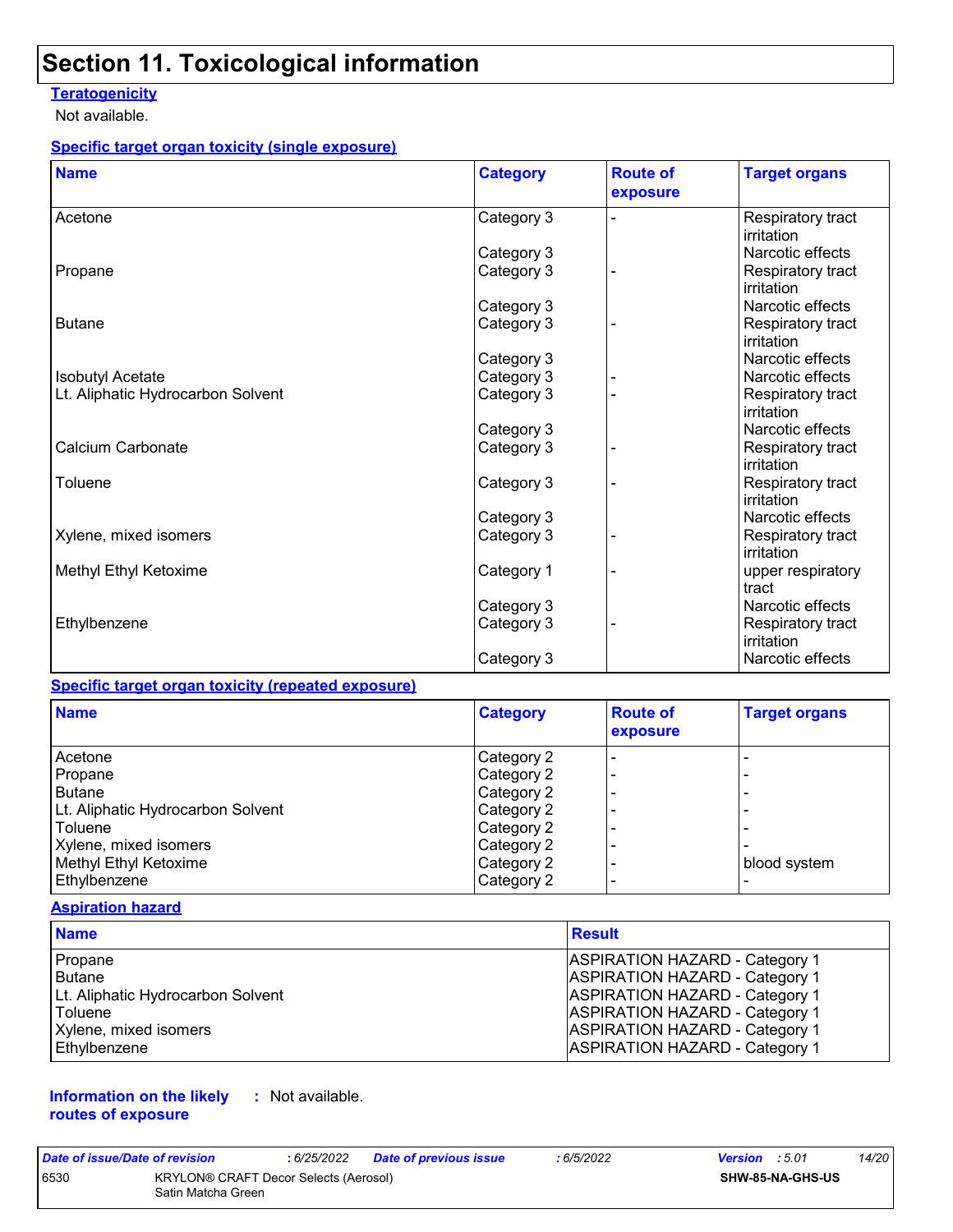#### **Teratogenicity**

Not available.

#### **Specific target organ toxicity (single exposure)**

| <b>Name</b>                       | <b>Category</b>          | <b>Route of</b><br>exposure | <b>Target organs</b>            |
|-----------------------------------|--------------------------|-----------------------------|---------------------------------|
| Acetone                           | Category 3               |                             | Respiratory tract<br>irritation |
|                                   |                          |                             | Narcotic effects                |
| Propane                           | Category 3<br>Category 3 |                             | Respiratory tract               |
|                                   |                          |                             | irritation                      |
|                                   | Category 3               |                             | Narcotic effects                |
| <b>Butane</b>                     | Category 3               |                             | Respiratory tract<br>irritation |
|                                   | Category 3               |                             | Narcotic effects                |
| <b>Isobutyl Acetate</b>           | Category 3               |                             | Narcotic effects                |
| Lt. Aliphatic Hydrocarbon Solvent | Category 3               |                             | Respiratory tract<br>irritation |
|                                   | Category 3               |                             | Narcotic effects                |
| Calcium Carbonate                 | Category 3               |                             | Respiratory tract<br>irritation |
| Toluene                           | Category 3               |                             | Respiratory tract<br>irritation |
|                                   | Category 3               |                             | Narcotic effects                |
| Xylene, mixed isomers             | Category 3               |                             | Respiratory tract<br>irritation |
| Methyl Ethyl Ketoxime             | Category 1               |                             | upper respiratory<br>tract      |
|                                   | Category 3               |                             | Narcotic effects                |
| Ethylbenzene                      | Category 3               |                             | Respiratory tract<br>irritation |
|                                   | Category 3               |                             | Narcotic effects                |

#### **Specific target organ toxicity (repeated exposure)**

| <b>Name</b>                       | <b>Category</b> | <b>Route of</b><br>exposure | <b>Target organs</b> |
|-----------------------------------|-----------------|-----------------------------|----------------------|
| Acetone                           | Category 2      | $\overline{\phantom{0}}$    |                      |
| Propane                           | Category 2      |                             |                      |
| l Butane                          | Category 2      |                             |                      |
| Lt. Aliphatic Hydrocarbon Solvent | Category 2      |                             |                      |
| Toluene                           | Category 2      |                             |                      |
| Xylene, mixed isomers             | Category 2      |                             |                      |
| Methyl Ethyl Ketoxime             | Category 2      |                             | blood system         |
| Ethylbenzene                      | Category 2      |                             |                      |

#### **Aspiration hazard**

| <b>Name</b>                       | Result                                |
|-----------------------------------|---------------------------------------|
| Propane                           | <b>ASPIRATION HAZARD - Category 1</b> |
| Butane                            | <b>ASPIRATION HAZARD - Category 1</b> |
| Lt. Aliphatic Hydrocarbon Solvent | <b>ASPIRATION HAZARD - Category 1</b> |
| l Toluene                         | <b>ASPIRATION HAZARD - Category 1</b> |
| Xylene, mixed isomers             | <b>ASPIRATION HAZARD - Category 1</b> |
| Ethylbenzene                      | <b>ASPIRATION HAZARD - Category 1</b> |

#### **Information on the likely :** Not available. **routes of exposure**

| Date of issue/Date of revision |                                                                    | : 6/25/2022 | Date of previous issue | : 6/5/2022 | <b>Version</b> : 5.01 |                         | 14/20 |
|--------------------------------|--------------------------------------------------------------------|-------------|------------------------|------------|-----------------------|-------------------------|-------|
| 6530                           | <b>KRYLON® CRAFT Decor Selects (Aerosol)</b><br>Satin Matcha Green |             |                        |            |                       | <b>SHW-85-NA-GHS-US</b> |       |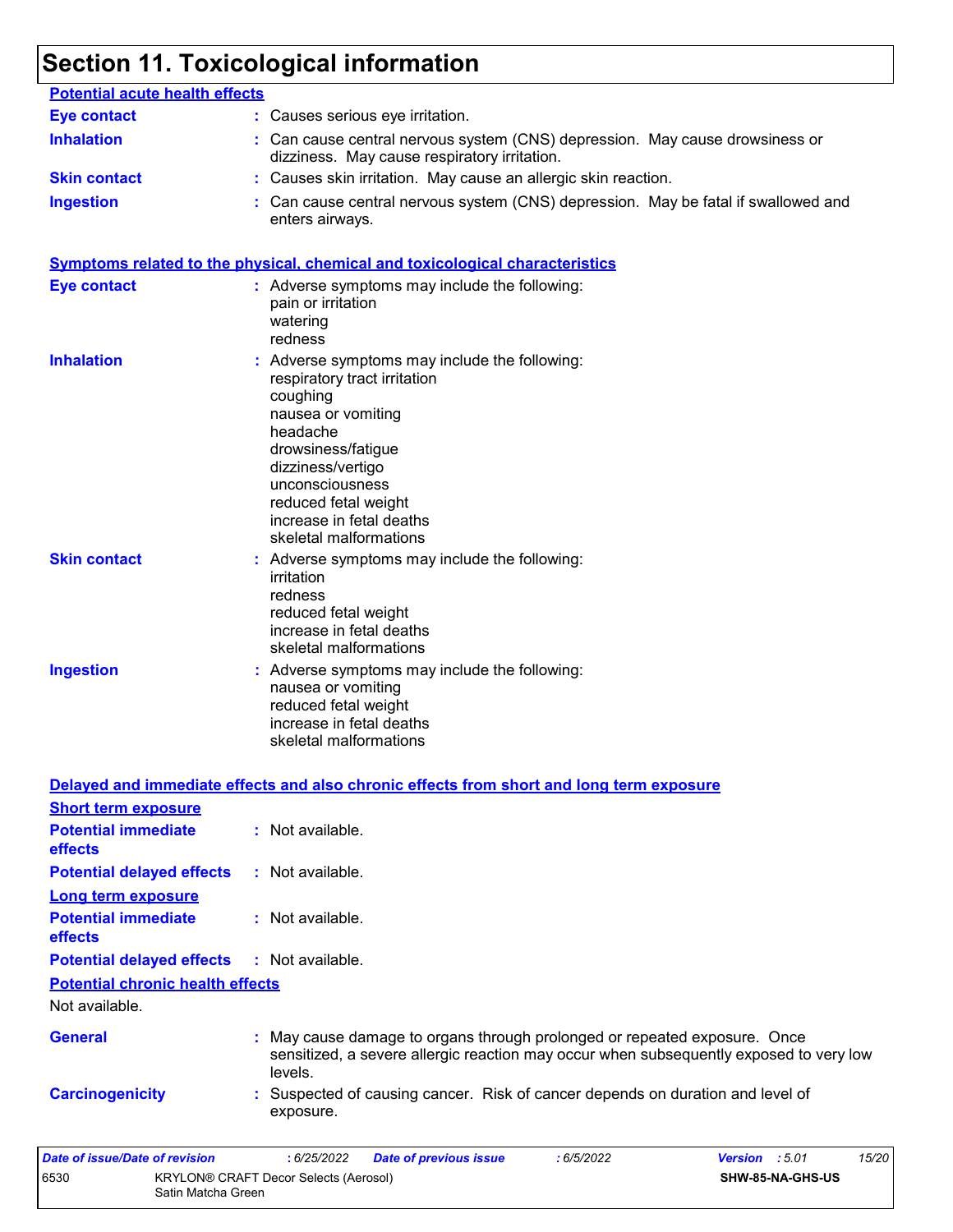| <b>Potential acute health effects</b> |                                                                                                                                                                                                                                                                         |
|---------------------------------------|-------------------------------------------------------------------------------------------------------------------------------------------------------------------------------------------------------------------------------------------------------------------------|
| <b>Eye contact</b>                    | : Causes serious eye irritation.                                                                                                                                                                                                                                        |
| <b>Inhalation</b>                     | : Can cause central nervous system (CNS) depression. May cause drowsiness or<br>dizziness. May cause respiratory irritation.                                                                                                                                            |
| <b>Skin contact</b>                   | : Causes skin irritation. May cause an allergic skin reaction.                                                                                                                                                                                                          |
| <b>Ingestion</b>                      | : Can cause central nervous system (CNS) depression. May be fatal if swallowed and<br>enters airways.                                                                                                                                                                   |
|                                       | <b>Symptoms related to the physical, chemical and toxicological characteristics</b>                                                                                                                                                                                     |
| <b>Eye contact</b>                    | : Adverse symptoms may include the following:<br>pain or irritation<br>watering<br>redness                                                                                                                                                                              |
| <b>Inhalation</b>                     | : Adverse symptoms may include the following:<br>respiratory tract irritation<br>coughing<br>nausea or vomiting<br>headache<br>drowsiness/fatigue<br>dizziness/vertigo<br>unconsciousness<br>reduced fetal weight<br>increase in fetal deaths<br>skeletal malformations |
| <b>Skin contact</b>                   | : Adverse symptoms may include the following:<br>irritation<br>redness<br>reduced fetal weight<br>increase in fetal deaths<br>skeletal malformations                                                                                                                    |
| <b>Ingestion</b>                      | : Adverse symptoms may include the following:<br>nausea or vomiting<br>reduced fetal weight<br>increase in fetal deaths<br>skeletal malformations                                                                                                                       |
|                                       | Delayed and immediate effects and also chronic effects from short and long term exposure                                                                                                                                                                                |

| <b>Short term exposure</b>                   |                                                                                                                                                                                |
|----------------------------------------------|--------------------------------------------------------------------------------------------------------------------------------------------------------------------------------|
| <b>Potential immediate</b><br><b>effects</b> | : Not available.                                                                                                                                                               |
| <b>Potential delayed effects</b>             | $:$ Not available.                                                                                                                                                             |
| <b>Long term exposure</b>                    |                                                                                                                                                                                |
| <b>Potential immediate</b><br><b>effects</b> | : Not available.                                                                                                                                                               |
| <b>Potential delayed effects</b>             | : Not available.                                                                                                                                                               |
| <b>Potential chronic health effects</b>      |                                                                                                                                                                                |
| Not available.                               |                                                                                                                                                                                |
| <b>General</b>                               | : May cause damage to organs through prolonged or repeated exposure. Once<br>sensitized, a severe allergic reaction may occur when subsequently exposed to very low<br>levels. |
| <b>Carcinogenicity</b>                       | : Suspected of causing cancer. Risk of cancer depends on duration and level of<br>exposure.                                                                                    |
| Date of issue/Date of revision               | 15/20<br>:6/25/2022<br><b>Date of previous issue</b><br>:6/5/2022<br>Version : 5.01                                                                                            |
| 6530<br>Satin Matcha Green                   | <b>KRYLON® CRAFT Decor Selects (Aerosol)</b><br>SHW-85-NA-GHS-US                                                                                                               |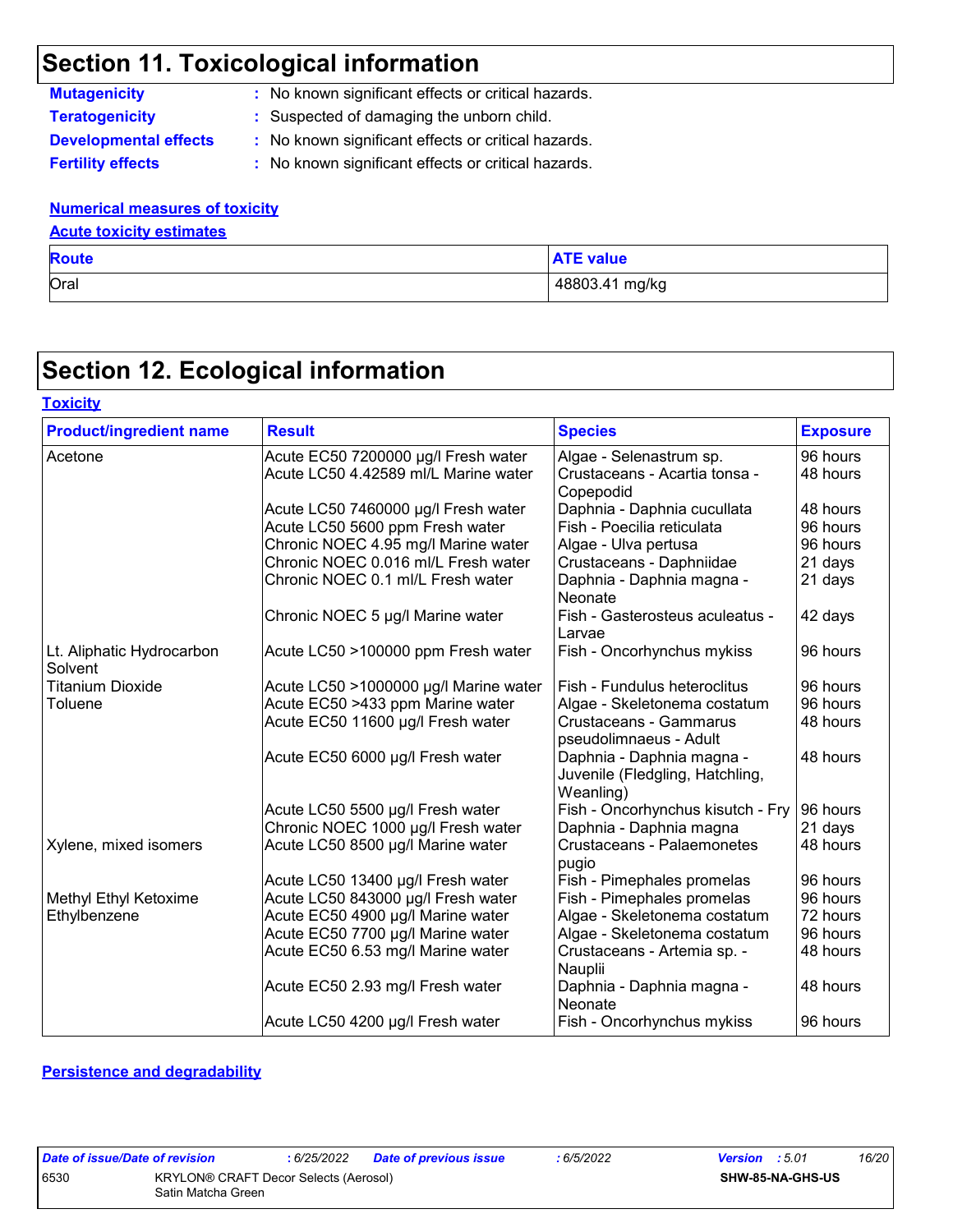**Mutagenicity :** No known significant effects or critical hazards. **Teratogenicity :** Suspected of damaging the unborn child.

**Developmental effects :** No known significant effects or critical hazards.

**Toxicity**

**Fertility effects :** No known significant effects or critical hazards.

#### **Numerical measures of toxicity**

### **Acute toxicity estimates**

| <b>Route</b> | <b>ATE value</b> |
|--------------|------------------|
| Oral         | 48803.41 mg/kg   |

## **Section 12. Ecological information**

| <b>Product/ingredient name</b>       | <b>Result</b>                         | <b>Species</b>                                                            | <b>Exposure</b> |
|--------------------------------------|---------------------------------------|---------------------------------------------------------------------------|-----------------|
| Acetone                              | Acute EC50 7200000 µg/l Fresh water   | Algae - Selenastrum sp.                                                   | 96 hours        |
|                                      | Acute LC50 4.42589 ml/L Marine water  | Crustaceans - Acartia tonsa -<br>Copepodid                                | 48 hours        |
|                                      | Acute LC50 7460000 µg/l Fresh water   | Daphnia - Daphnia cucullata                                               | 48 hours        |
|                                      | Acute LC50 5600 ppm Fresh water       | Fish - Poecilia reticulata                                                | 96 hours        |
|                                      | Chronic NOEC 4.95 mg/l Marine water   | Algae - Ulva pertusa                                                      | 96 hours        |
|                                      | Chronic NOEC 0.016 ml/L Fresh water   | Crustaceans - Daphniidae                                                  | 21 days         |
|                                      | Chronic NOEC 0.1 ml/L Fresh water     | Daphnia - Daphnia magna -<br>Neonate                                      | 21 days         |
|                                      | Chronic NOEC 5 µg/l Marine water      | Fish - Gasterosteus aculeatus -<br>Larvae                                 | 42 days         |
| Lt. Aliphatic Hydrocarbon<br>Solvent | Acute LC50 >100000 ppm Fresh water    | Fish - Oncorhynchus mykiss                                                | 96 hours        |
| <b>Titanium Dioxide</b>              | Acute LC50 >1000000 µg/l Marine water | Fish - Fundulus heteroclitus                                              | 96 hours        |
| Toluene                              | Acute EC50 >433 ppm Marine water      | Algae - Skeletonema costatum                                              | 96 hours        |
|                                      | Acute EC50 11600 µg/l Fresh water     | Crustaceans - Gammarus<br>pseudolimnaeus - Adult                          | 48 hours        |
|                                      | Acute EC50 6000 µg/l Fresh water      | Daphnia - Daphnia magna -<br>Juvenile (Fledgling, Hatchling,<br>Weanling) | 48 hours        |
|                                      | Acute LC50 5500 µg/l Fresh water      | Fish - Oncorhynchus kisutch - Fry                                         | 96 hours        |
|                                      | Chronic NOEC 1000 µg/l Fresh water    | Daphnia - Daphnia magna                                                   | 21 days         |
| Xylene, mixed isomers                | Acute LC50 8500 µg/l Marine water     | Crustaceans - Palaemonetes<br>pugio                                       | 48 hours        |
|                                      | Acute LC50 13400 µg/l Fresh water     | Fish - Pimephales promelas                                                | 96 hours        |
| Methyl Ethyl Ketoxime                | Acute LC50 843000 µg/l Fresh water    | Fish - Pimephales promelas                                                | 96 hours        |
| Ethylbenzene                         | Acute EC50 4900 µg/l Marine water     | Algae - Skeletonema costatum                                              | 72 hours        |
|                                      | Acute EC50 7700 µg/l Marine water     | Algae - Skeletonema costatum                                              | 96 hours        |
|                                      | Acute EC50 6.53 mg/l Marine water     | Crustaceans - Artemia sp. -<br>Nauplii                                    | 48 hours        |
|                                      | Acute EC50 2.93 mg/l Fresh water      | Daphnia - Daphnia magna -<br>Neonate                                      | 48 hours        |
|                                      | Acute LC50 4200 µg/l Fresh water      | Fish - Oncorhynchus mykiss                                                | 96 hours        |

#### **Persistence and degradability**

| <b>Date of issue/Dat</b> |  |  |
|--------------------------|--|--|
| חכם:                     |  |  |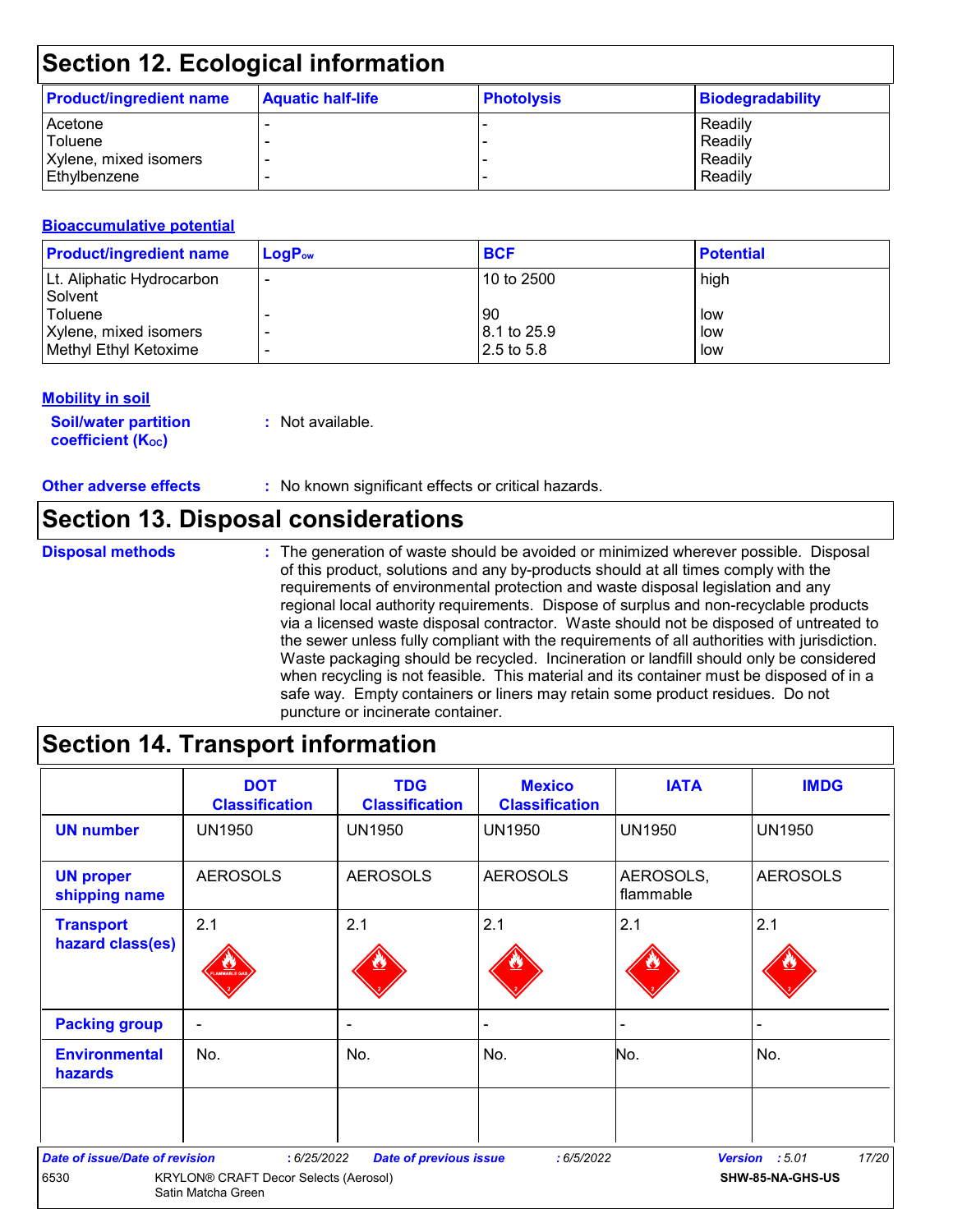| <b>Product/ingredient name</b> | <b>Aquatic half-life</b> | <b>Photolysis</b> | Biodegradability |
|--------------------------------|--------------------------|-------------------|------------------|
| Acetone                        |                          |                   | Readily          |
| Toluene                        |                          |                   | Readily          |
| Xylene, mixed isomers          | $\overline{\phantom{0}}$ |                   | Readily          |
| l Ethvlbenzene                 |                          |                   | Readily          |

#### **Bioaccumulative potential**

| <b>Product/ingredient name</b> | $LogP_{ow}$ | <b>BCF</b>  | <b>Potential</b> |
|--------------------------------|-------------|-------------|------------------|
| Lt. Aliphatic Hydrocarbon      |             | 10 to 2500  | high             |
| Solvent<br><b>Toluene</b>      |             | 90          | low              |
| Xylene, mixed isomers          |             | 8.1 to 25.9 | low              |
| Methyl Ethyl Ketoxime          |             | 2.5 to 5.8  | low              |

#### **Mobility in soil**

**Soil/water partition coefficient (K**<sub>oc</sub>)

**:** Not available.

**Other adverse effects** : No known significant effects or critical hazards.

### **Section 13. Disposal considerations**

**Disposal methods :**

The generation of waste should be avoided or minimized wherever possible. Disposal of this product, solutions and any by-products should at all times comply with the requirements of environmental protection and waste disposal legislation and any regional local authority requirements. Dispose of surplus and non-recyclable products via a licensed waste disposal contractor. Waste should not be disposed of untreated to the sewer unless fully compliant with the requirements of all authorities with jurisdiction. Waste packaging should be recycled. Incineration or landfill should only be considered when recycling is not feasible. This material and its container must be disposed of in a safe way. Empty containers or liners may retain some product residues. Do not puncture or incinerate container.

### **Section 14. Transport information**

|                                        | <b>DOT</b><br><b>Classification</b>                         | <b>TDG</b><br><b>Classification</b> | <b>Mexico</b><br><b>Classification</b> | <b>IATA</b>            | <b>IMDG</b>             |
|----------------------------------------|-------------------------------------------------------------|-------------------------------------|----------------------------------------|------------------------|-------------------------|
| <b>UN number</b>                       | <b>UN1950</b>                                               | UN1950                              | <b>UN1950</b>                          | <b>UN1950</b>          | <b>UN1950</b>           |
| <b>UN proper</b><br>shipping name      | <b>AEROSOLS</b>                                             | <b>AEROSOLS</b>                     | <b>AEROSOLS</b>                        | AEROSOLS,<br>flammable | <b>AEROSOLS</b>         |
| <b>Transport</b>                       | 2.1                                                         | 2.1                                 | 2.1                                    | 2.1                    | 2.1                     |
| hazard class(es)                       |                                                             |                                     |                                        |                        |                         |
| <b>Packing group</b>                   | $\sim$                                                      | $\sim$                              |                                        | -                      |                         |
| <b>Environmental</b><br><b>hazards</b> | No.                                                         | No.                                 | No.                                    | No.                    | No.                     |
|                                        |                                                             |                                     |                                        |                        |                         |
| Date of issue/Date of revision         | : 6/25/2022                                                 | <b>Date of previous issue</b>       | :6/5/2022                              |                        | 17/20<br>Version : 5.01 |
| 6530                                   | KRYLON® CRAFT Decor Selects (Aerosol)<br>Satin Matcha Green |                                     |                                        |                        | SHW-85-NA-GHS-US        |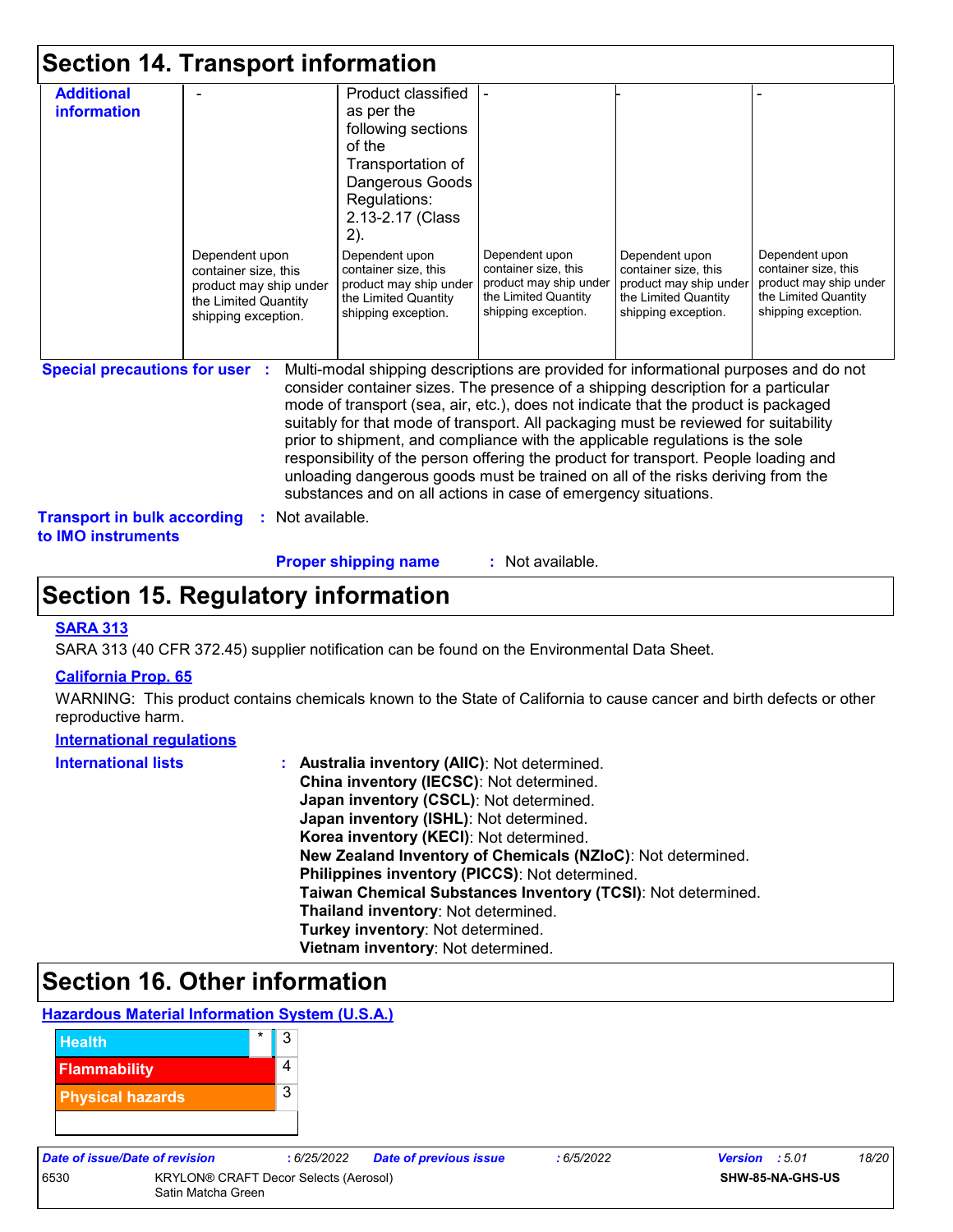|                                                                                                                 | Product classified<br>as per the<br>following sections<br>of the<br>Transportation of<br>Dangerous Goods<br>Regulations:<br>2.13-2.17 (Class |                                                                                                                 |                                                                                                                 |                                                                                                                                                                                                                                                                                                                                                                                                                                                                                                                                                                                                                                                                                     |
|-----------------------------------------------------------------------------------------------------------------|----------------------------------------------------------------------------------------------------------------------------------------------|-----------------------------------------------------------------------------------------------------------------|-----------------------------------------------------------------------------------------------------------------|-------------------------------------------------------------------------------------------------------------------------------------------------------------------------------------------------------------------------------------------------------------------------------------------------------------------------------------------------------------------------------------------------------------------------------------------------------------------------------------------------------------------------------------------------------------------------------------------------------------------------------------------------------------------------------------|
| Dependent upon<br>container size, this<br>product may ship under<br>the Limited Quantity<br>shipping exception. | 2).<br>Dependent upon<br>container size, this<br>product may ship under<br>the Limited Quantity<br>shipping exception.                       | Dependent upon<br>container size, this<br>product may ship under<br>the Limited Quantity<br>shipping exception. | Dependent upon<br>container size, this<br>product may ship under<br>the Limited Quantity<br>shipping exception. | Dependent upon<br>container size, this<br>product may ship under<br>the Limited Quantity<br>shipping exception.                                                                                                                                                                                                                                                                                                                                                                                                                                                                                                                                                                     |
| <b>Special precautions for user :</b>                                                                           |                                                                                                                                              |                                                                                                                 |                                                                                                                 |                                                                                                                                                                                                                                                                                                                                                                                                                                                                                                                                                                                                                                                                                     |
|                                                                                                                 | <b>Transport in bulk according</b>                                                                                                           | : Not available.                                                                                                |                                                                                                                 | Multi-modal shipping descriptions are provided for informational purposes and do not<br>consider container sizes. The presence of a shipping description for a particular<br>mode of transport (sea, air, etc.), does not indicate that the product is packaged<br>suitably for that mode of transport. All packaging must be reviewed for suitability<br>prior to shipment, and compliance with the applicable regulations is the sole<br>responsibility of the person offering the product for transport. People loading and<br>unloading dangerous goods must be trained on all of the risks deriving from the<br>substances and on all actions in case of emergency situations. |

**Proper shipping name :**

: Not available.

### **Section 15. Regulatory information**

#### **SARA 313**

SARA 313 (40 CFR 372.45) supplier notification can be found on the Environmental Data Sheet.

#### **California Prop. 65**

WARNING: This product contains chemicals known to the State of California to cause cancer and birth defects or other reproductive harm.

#### **International regulations**

| <b>International lists</b> | : Australia inventory (AIIC): Not determined.                |
|----------------------------|--------------------------------------------------------------|
|                            | China inventory (IECSC): Not determined.                     |
|                            | Japan inventory (CSCL): Not determined.                      |
|                            | Japan inventory (ISHL): Not determined.                      |
|                            | Korea inventory (KECI): Not determined.                      |
|                            | New Zealand Inventory of Chemicals (NZIoC): Not determined.  |
|                            | Philippines inventory (PICCS): Not determined.               |
|                            | Taiwan Chemical Substances Inventory (TCSI): Not determined. |
|                            | Thailand inventory: Not determined.                          |
|                            | Turkey inventory: Not determined.                            |
|                            | Vietnam inventory: Not determined.                           |

## **Section 16. Other information**

#### **Hazardous Material Information System (U.S.A.)**



| <b>Date of issue/Date of revision</b> |  |
|---------------------------------------|--|
|                                       |  |

6530 KRYLON® CRAFT Decor Selects (Aerosol) Satin Matcha Green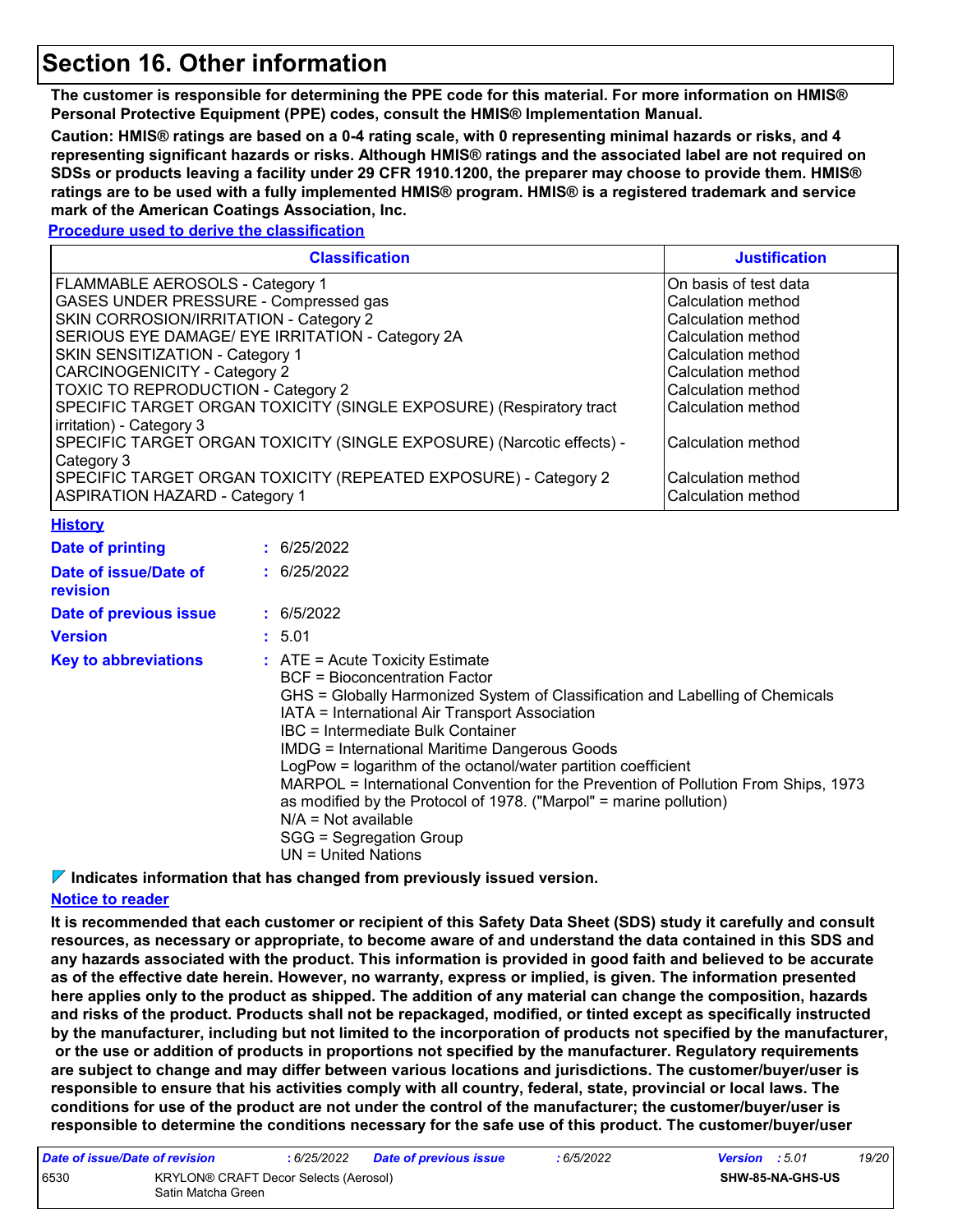### **Section 16. Other information**

**The customer is responsible for determining the PPE code for this material. For more information on HMIS® Personal Protective Equipment (PPE) codes, consult the HMIS® Implementation Manual.**

**Caution: HMIS® ratings are based on a 0-4 rating scale, with 0 representing minimal hazards or risks, and 4 representing significant hazards or risks. Although HMIS® ratings and the associated label are not required on SDSs or products leaving a facility under 29 CFR 1910.1200, the preparer may choose to provide them. HMIS® ratings are to be used with a fully implemented HMIS® program. HMIS® is a registered trademark and service mark of the American Coatings Association, Inc.**

#### **Procedure used to derive the classification**

|                                                                                                                                                                                                                                                                                                                                                                                  | <b>Classification</b>                                                                                                                                                                                                                                                                                                                                                                                                                                                                                                                                                                                                      | <b>Justification</b>                                                                                                                                                                                                                              |
|----------------------------------------------------------------------------------------------------------------------------------------------------------------------------------------------------------------------------------------------------------------------------------------------------------------------------------------------------------------------------------|----------------------------------------------------------------------------------------------------------------------------------------------------------------------------------------------------------------------------------------------------------------------------------------------------------------------------------------------------------------------------------------------------------------------------------------------------------------------------------------------------------------------------------------------------------------------------------------------------------------------------|---------------------------------------------------------------------------------------------------------------------------------------------------------------------------------------------------------------------------------------------------|
| FLAMMABLE AEROSOLS - Category 1<br>GASES UNDER PRESSURE - Compressed gas<br>SKIN CORROSION/IRRITATION - Category 2<br>SERIOUS EYE DAMAGE/ EYE IRRITATION - Category 2A<br>SKIN SENSITIZATION - Category 1<br><b>CARCINOGENICITY - Category 2</b><br><b>TOXIC TO REPRODUCTION - Category 2</b><br>irritation) - Category 3<br>Category 3<br><b>ASPIRATION HAZARD - Category 1</b> | SPECIFIC TARGET ORGAN TOXICITY (SINGLE EXPOSURE) (Respiratory tract<br>SPECIFIC TARGET ORGAN TOXICITY (SINGLE EXPOSURE) (Narcotic effects) -<br>SPECIFIC TARGET ORGAN TOXICITY (REPEATED EXPOSURE) - Category 2                                                                                                                                                                                                                                                                                                                                                                                                            | On basis of test data<br>Calculation method<br>Calculation method<br>Calculation method<br>Calculation method<br>Calculation method<br>Calculation method<br>Calculation method<br>Calculation method<br>Calculation method<br>Calculation method |
| <b>History</b>                                                                                                                                                                                                                                                                                                                                                                   |                                                                                                                                                                                                                                                                                                                                                                                                                                                                                                                                                                                                                            |                                                                                                                                                                                                                                                   |
| <b>Date of printing</b>                                                                                                                                                                                                                                                                                                                                                          | : 6/25/2022                                                                                                                                                                                                                                                                                                                                                                                                                                                                                                                                                                                                                |                                                                                                                                                                                                                                                   |
| Date of issue/Date of<br>revision                                                                                                                                                                                                                                                                                                                                                | : 6/25/2022                                                                                                                                                                                                                                                                                                                                                                                                                                                                                                                                                                                                                |                                                                                                                                                                                                                                                   |
| Date of previous issue                                                                                                                                                                                                                                                                                                                                                           | : 6/5/2022                                                                                                                                                                                                                                                                                                                                                                                                                                                                                                                                                                                                                 |                                                                                                                                                                                                                                                   |
| <b>Version</b>                                                                                                                                                                                                                                                                                                                                                                   | : 5.01                                                                                                                                                                                                                                                                                                                                                                                                                                                                                                                                                                                                                     |                                                                                                                                                                                                                                                   |
| <b>Key to abbreviations</b>                                                                                                                                                                                                                                                                                                                                                      | $:$ ATE = Acute Toxicity Estimate<br><b>BCF</b> = Bioconcentration Factor<br>GHS = Globally Harmonized System of Classification and Labelling of Chemicals<br>IATA = International Air Transport Association<br><b>IBC</b> = Intermediate Bulk Container<br><b>IMDG = International Maritime Dangerous Goods</b><br>LogPow = logarithm of the octanol/water partition coefficient<br>MARPOL = International Convention for the Prevention of Pollution From Ships, 1973<br>as modified by the Protocol of 1978. ("Marpol" = marine pollution)<br>$N/A = Not available$<br>SGG = Segregation Group<br>$UN = United Nations$ |                                                                                                                                                                                                                                                   |

**Indicates information that has changed from previously issued version.**

#### **Notice to reader**

**It is recommended that each customer or recipient of this Safety Data Sheet (SDS) study it carefully and consult resources, as necessary or appropriate, to become aware of and understand the data contained in this SDS and any hazards associated with the product. This information is provided in good faith and believed to be accurate as of the effective date herein. However, no warranty, express or implied, is given. The information presented here applies only to the product as shipped. The addition of any material can change the composition, hazards and risks of the product. Products shall not be repackaged, modified, or tinted except as specifically instructed by the manufacturer, including but not limited to the incorporation of products not specified by the manufacturer, or the use or addition of products in proportions not specified by the manufacturer. Regulatory requirements are subject to change and may differ between various locations and jurisdictions. The customer/buyer/user is responsible to ensure that his activities comply with all country, federal, state, provincial or local laws. The conditions for use of the product are not under the control of the manufacturer; the customer/buyer/user is responsible to determine the conditions necessary for the safe use of this product. The customer/buyer/user** 

| Date of issue/Date of revision |                                                             | : 6/25/2022 | <b>Date of previous issue</b> | : 6/5/2022 | <b>Version</b> : 5.01 |                         | 19/20 |
|--------------------------------|-------------------------------------------------------------|-------------|-------------------------------|------------|-----------------------|-------------------------|-------|
| 6530                           | KRYLON® CRAFT Decor Selects (Aerosol)<br>Satin Matcha Green |             |                               |            |                       | <b>SHW-85-NA-GHS-US</b> |       |